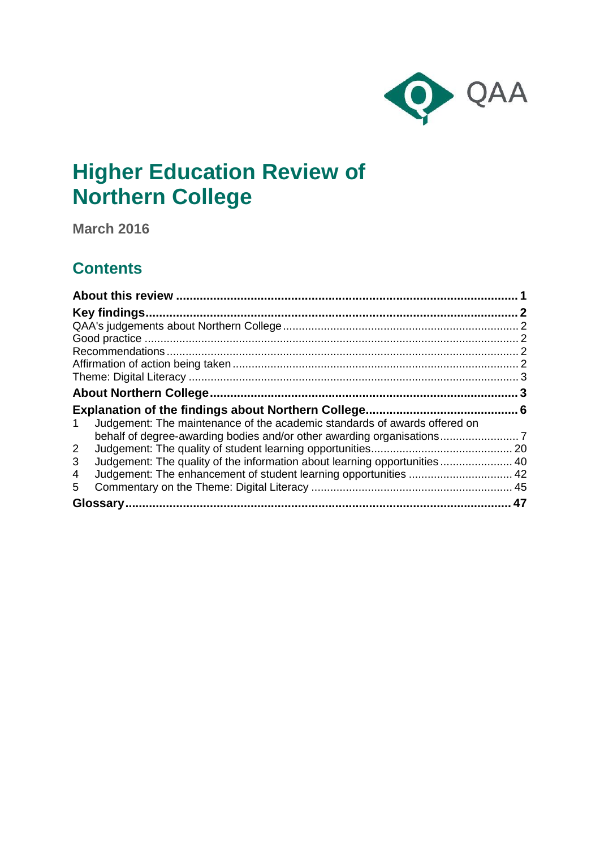

# **Higher Education Review of Northern College**

**March 2016**

## **Contents**

|                                                                                 | 2 |
|---------------------------------------------------------------------------------|---|
|                                                                                 |   |
|                                                                                 |   |
|                                                                                 |   |
|                                                                                 |   |
|                                                                                 |   |
|                                                                                 |   |
|                                                                                 |   |
|                                                                                 |   |
| Judgement: The maintenance of the academic standards of awards offered on<br>1. |   |
|                                                                                 |   |
| $\overline{2}$                                                                  |   |
| Judgement: The quality of the information about learning opportunities 40<br>3  |   |
| 4                                                                               |   |
| 5.                                                                              |   |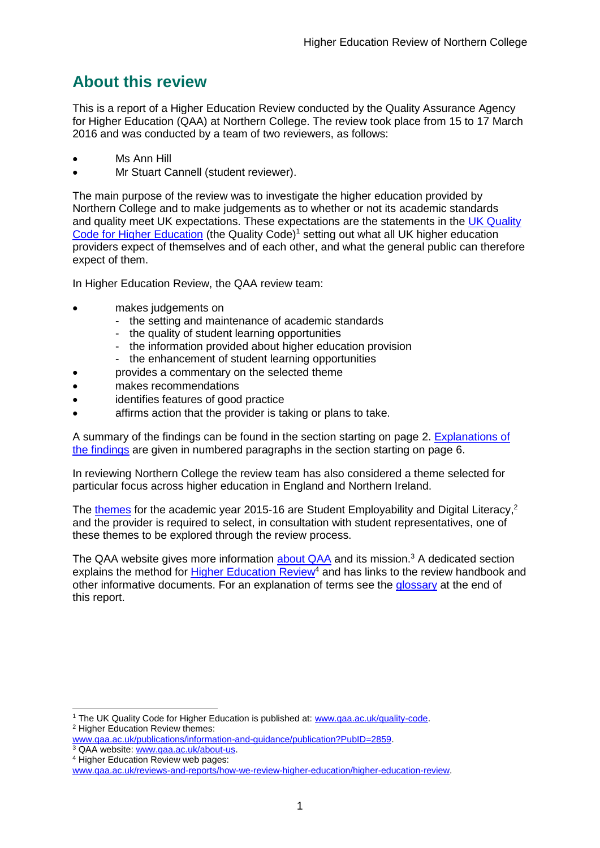## <span id="page-1-0"></span>**About this review**

This is a report of a Higher Education Review conducted by the Quality Assurance Agency for Higher Education (QAA) at Northern College. The review took place from 15 to 17 March 2016 and was conducted by a team of two reviewers, as follows:

- Ms Ann Hill
- Mr Stuart Cannell (student reviewer).

The main purpose of the review was to investigate the higher education provided by Northern College and to make judgements as to whether or not its academic standards and quality meet UK expectations. These expectations are the statements in the [UK Quality](http://www.qaa.ac.uk/assuring-standards-and-quality/the-quality-code)  [Code for Higher Education](http://www.qaa.ac.uk/assuring-standards-and-quality/the-quality-code) (the Quality Code)<sup>1</sup> setting out what all UK higher education [providers](http://newlive.qaa.ac.uk/AboutUs/glossary/Pages/glossary-h.aspx#h2.1) expect of themselves and of each other, and what the general public can therefore expect of them.

In Higher Education Review, the QAA review team:

- makes judgements on
	- the setting and maintenance of academic standards
	- the quality of student learning opportunities
	- the information provided about higher education provision
	- the enhancement of student learning opportunities
	- provides a commentary on the selected theme
- makes recommendations
- identifies features of good practice
- affirms action that the provider is taking or plans to take.

A summary of the findings can be found in the section starting on page 2. [Explanations of](#page-6-0)  [the findings](#page-6-0) are given in numbered paragraphs in the section starting on page 6.

In reviewing Northern College the review team has also considered a theme selected for particular focus across higher education in England and Northern Ireland.

The [themes](http://www.qaa.ac.uk/publications/information-and-guidance/publication?PubID=106) for the academic year 2015-16 are Student Employability and Digital Literacy,<sup>2</sup> and the provider is required to select, in consultation with student representatives, one of these themes to be explored through the review process.

The QAA website gives more information [about QAA](http://www.qaa.ac.uk/aboutus/pages/default.aspx) and its mission.<sup>3</sup> A dedicated section explains the method for [Higher Education](http://www.qaa.ac.uk/reviews-and-reports/how-we-review-higher-education/higher-education-review) Review<sup>4</sup> and has links to the review handbook and other informative documents. For an explanation of terms see the glossary at the end of this report.

<sup>-</sup><sup>1</sup> The UK Quality Code for Higher Education is published at: [www.qaa.ac.uk/quality-code.](http://www.qaa.ac.uk/quality-code) <sup>2</sup> Higher Education Review themes:

[www.qaa.ac.uk/publications/information-and-guidance/publication?PubID=2859.](http://www.qaa.ac.uk/publications/information-and-guidance/publication?PubID=2859)

<sup>&</sup>lt;sup>3</sup> QAA website: [www.qaa.ac.uk/about-us.](http://www.qaa.ac.uk/about-us) <sup>4</sup> Higher Education Review web pages:

[www.qaa.ac.uk/reviews-and-reports/how-we-review-higher-education/higher-education-review.](http://www.qaa.ac.uk/reviews-and-reports/how-we-review-higher-education/higher-education-review)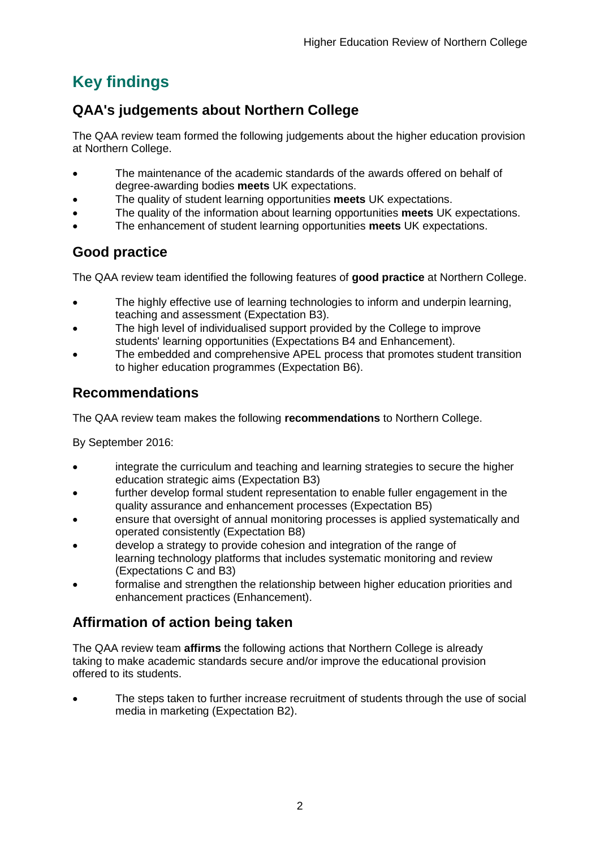## <span id="page-2-0"></span>**Key findings**

## <span id="page-2-1"></span>**QAA's judgements about Northern College**

The QAA review team formed the following judgements about the higher education provision at Northern College.

- The maintenance of the academic standards of the awards offered on behalf of degree-awarding bodies **meets** UK expectations.
- The quality of student learning opportunities **meets** UK expectations.
- The quality of the information about learning opportunities **meets** UK expectations.
- The enhancement of student learning opportunities **meets** UK expectations.

## <span id="page-2-2"></span>**Good practice**

The QAA review team identified the following features of **good practice** at Northern College.

- The highly effective use of learning technologies to inform and underpin learning, teaching and assessment (Expectation B3).
- The high level of individualised support provided by the College to improve students' learning opportunities (Expectations B4 and Enhancement).
- The embedded and comprehensive APEL process that promotes student transition to higher education programmes (Expectation B6).

## <span id="page-2-3"></span>**Recommendations**

The QAA review team makes the following **recommendations** to Northern College.

By September 2016:

- integrate the curriculum and teaching and learning strategies to secure the higher education strategic aims (Expectation B3)
- further develop formal student representation to enable fuller engagement in the quality assurance and enhancement processes (Expectation B5)
- ensure that oversight of annual monitoring processes is applied systematically and operated consistently (Expectation B8)
- develop a strategy to provide cohesion and integration of the range of learning technology platforms that includes systematic monitoring and review (Expectations C and B3)
- formalise and strengthen the relationship between higher education priorities and enhancement practices (Enhancement).

## <span id="page-2-4"></span>**Affirmation of action being taken**

The QAA review team **affirms** the following actions that Northern College is already taking to make academic standards secure and/or improve the educational provision offered to its students.

 The steps taken to further increase recruitment of students through the use of social media in marketing (Expectation B2).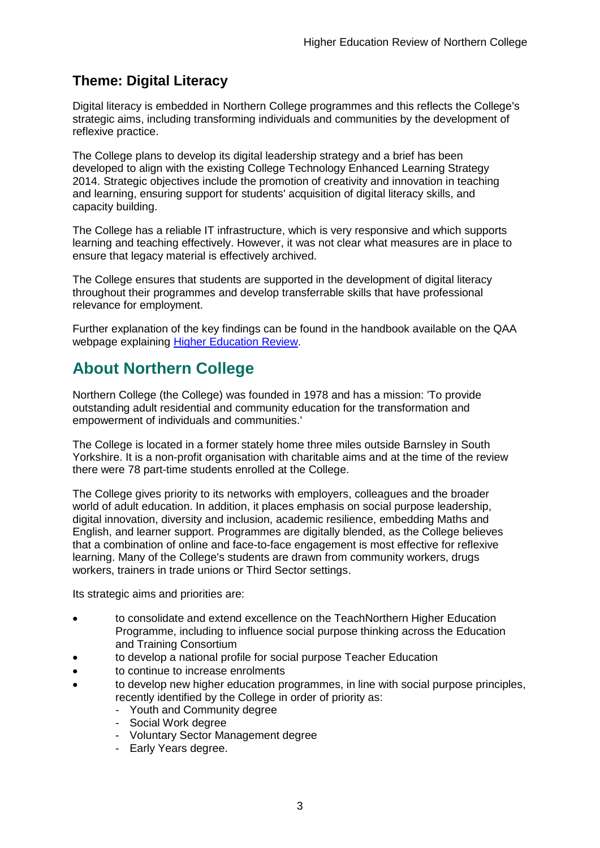## <span id="page-3-0"></span>**Theme: Digital Literacy**

Digital literacy is embedded in Northern College programmes and this reflects the College's strategic aims, including transforming individuals and communities by the development of reflexive practice.

The College plans to develop its digital leadership strategy and a brief has been developed to align with the existing College Technology Enhanced Learning Strategy 2014. Strategic objectives include the promotion of creativity and innovation in teaching and learning, ensuring support for students' acquisition of digital literacy skills, and capacity building.

The College has a reliable IT infrastructure, which is very responsive and which supports learning and teaching effectively. However, it was not clear what measures are in place to ensure that legacy material is effectively archived.

The College ensures that students are supported in the development of digital literacy throughout their programmes and develop transferrable skills that have professional relevance for employment.

Further explanation of the key findings can be found in the handbook available on the QAA webpage explaining [Higher Education Review.](http://www.qaa.ac.uk/reviews-and-reports/how-we-review-higher-education/higher-education-review)

## <span id="page-3-1"></span>**About Northern College**

Northern College (the College) was founded in 1978 and has a mission: 'To provide outstanding adult residential and community education for the transformation and empowerment of individuals and communities.'

The College is located in a former stately home three miles outside Barnsley in South Yorkshire. It is a non-profit organisation with charitable aims and at the time of the review there were 78 part-time students enrolled at the College.

The College gives priority to its networks with employers, colleagues and the broader world of adult education. In addition, it places emphasis on social purpose leadership, digital innovation, diversity and inclusion, academic resilience, embedding Maths and English, and learner support. Programmes are digitally blended, as the College believes that a combination of online and face-to-face engagement is most effective for reflexive learning. Many of the College's students are drawn from community workers, drugs workers, trainers in trade unions or Third Sector settings.

Its strategic aims and priorities are:

- to consolidate and extend excellence on the TeachNorthern Higher Education Programme, including to influence social purpose thinking across the Education and Training Consortium
- to develop a national profile for social purpose Teacher Education
- to continue to increase enrolments
- to develop new higher education programmes, in line with social purpose principles, recently identified by the College in order of priority as:
	- Youth and Community degree
	- Social Work degree
	- Voluntary Sector Management degree
	- Early Years degree.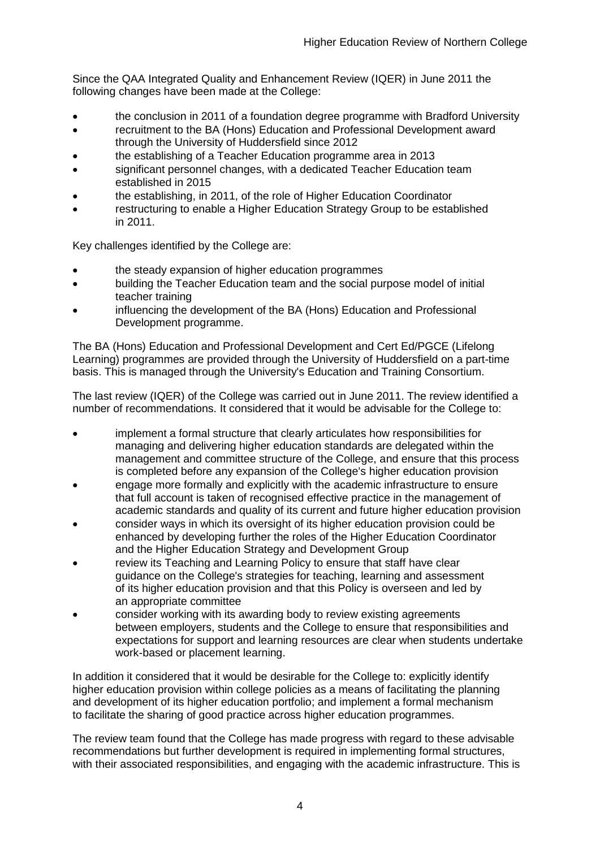Since the QAA Integrated Quality and Enhancement Review (IQER) in June 2011 the following changes have been made at the College:

- the conclusion in 2011 of a foundation degree programme with Bradford University
- recruitment to the BA (Hons) Education and Professional Development award through the University of Huddersfield since 2012
- the establishing of a Teacher Education programme area in 2013
- significant personnel changes, with a dedicated Teacher Education team established in 2015
- the establishing, in 2011, of the role of Higher Education Coordinator
- restructuring to enable a Higher Education Strategy Group to be established in 2011.

Key challenges identified by the College are:

- the steady expansion of higher education programmes
- building the Teacher Education team and the social purpose model of initial teacher training
- influencing the development of the BA (Hons) Education and Professional Development programme.

The BA (Hons) Education and Professional Development and Cert Ed/PGCE (Lifelong Learning) programmes are provided through the University of Huddersfield on a part-time basis. This is managed through the University's Education and Training Consortium.

The last review (IQER) of the College was carried out in June 2011. The review identified a number of recommendations. It considered that it would be advisable for the College to:

- implement a formal structure that clearly articulates how responsibilities for managing and delivering higher education standards are delegated within the management and committee structure of the College, and ensure that this process is completed before any expansion of the College's higher education provision
- engage more formally and explicitly with the academic infrastructure to ensure that full account is taken of recognised effective practice in the management of academic standards and quality of its current and future higher education provision
- consider ways in which its oversight of its higher education provision could be enhanced by developing further the roles of the Higher Education Coordinator and the Higher Education Strategy and Development Group
- review its Teaching and Learning Policy to ensure that staff have clear guidance on the College's strategies for teaching, learning and assessment of its higher education provision and that this Policy is overseen and led by an appropriate committee
- consider working with its awarding body to review existing agreements between employers, students and the College to ensure that responsibilities and expectations for support and learning resources are clear when students undertake work-based or placement learning.

In addition it considered that it would be desirable for the College to: explicitly identify higher education provision within college policies as a means of facilitating the planning and development of its higher education portfolio; and implement a formal mechanism to facilitate the sharing of good practice across higher education programmes.

The review team found that the College has made progress with regard to these advisable recommendations but further development is required in implementing formal structures, with their associated responsibilities, and engaging with the academic infrastructure. This is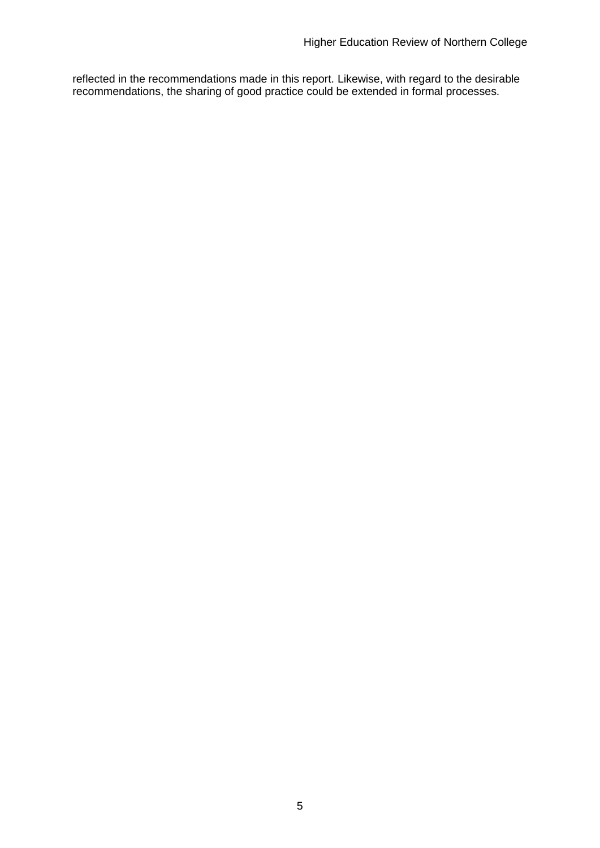reflected in the recommendations made in this report. Likewise, with regard to the desirable recommendations, the sharing of good practice could be extended in formal processes.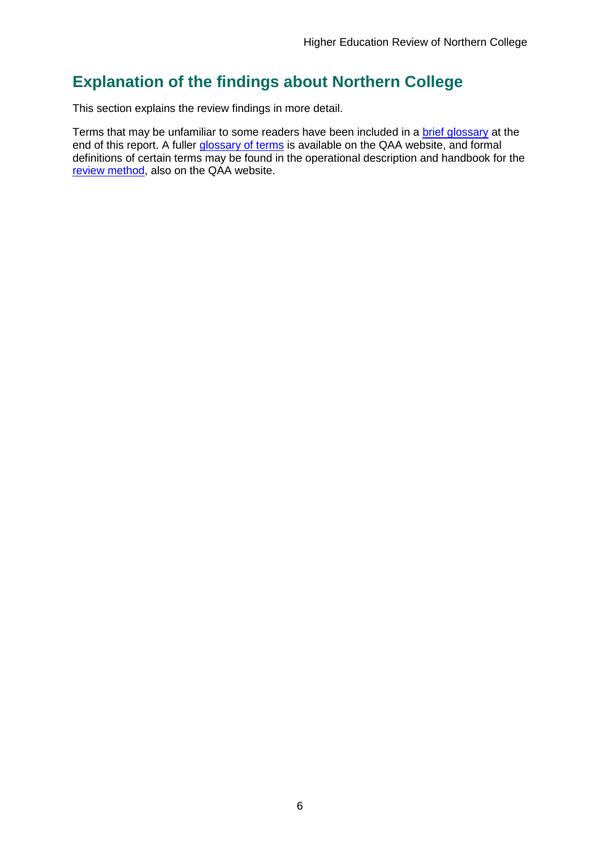## <span id="page-6-0"></span>**Explanation of the findings about Northern College**

This section explains the review findings in more detail.

Terms that may be unfamiliar to some readers have been included in a brief glossary at the end of this report. A fuller [glossary of terms](http://www.qaa.ac.uk/Pages/GlossaryEN.aspx) is available on the QAA website, and formal definitions of certain terms may be found in the operational description and handbook for the [review method,](http://www.qaa.ac.uk/reviews-and-reports/how-we-review-higher-education/higher-education-review) also on the QAA website.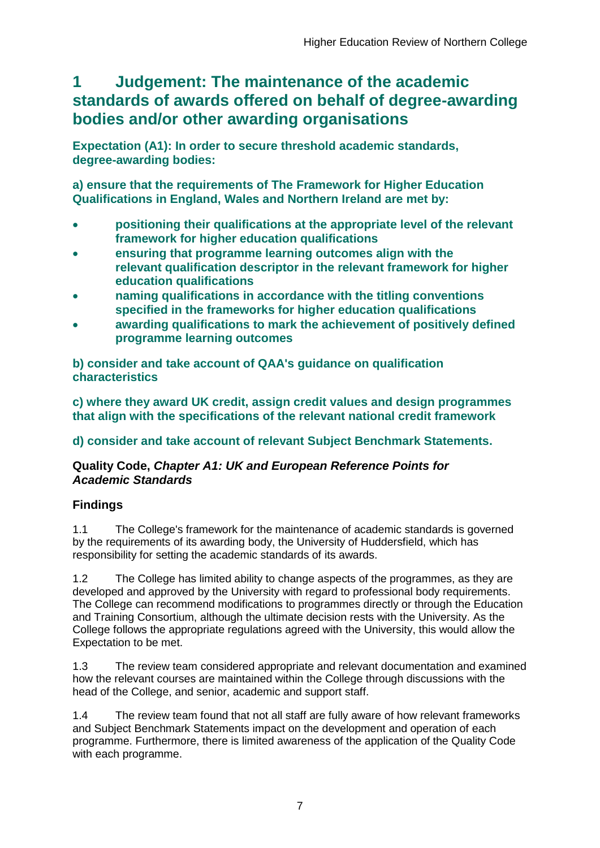## <span id="page-7-0"></span>**1 Judgement: The maintenance of the academic standards of awards offered on behalf of degree-awarding bodies and/or other awarding organisations**

**Expectation (A1): In order to secure threshold academic standards, degree-awarding bodies:** 

**a) ensure that the requirements of The Framework for Higher Education Qualifications in England, Wales and Northern Ireland are met by:**

- **positioning their qualifications at the appropriate level of the relevant framework for higher education qualifications**
- **ensuring that programme learning outcomes align with the relevant qualification descriptor in the relevant framework for higher education qualifications**
- **naming qualifications in accordance with the titling conventions specified in the frameworks for higher education qualifications**
- **awarding qualifications to mark the achievement of positively defined programme learning outcomes**

**b) consider and take account of QAA's guidance on qualification characteristics** 

**c) where they award UK credit, assign credit values and design programmes that align with the specifications of the relevant national credit framework** 

### **d) consider and take account of relevant Subject Benchmark Statements.**

### **Quality Code,** *Chapter A1: UK and European Reference Points for Academic Standards*

## **Findings**

1.1 The College's framework for the maintenance of academic standards is governed by the requirements of its awarding body, the University of Huddersfield, which has responsibility for setting the academic standards of its awards.

1.2 The College has limited ability to change aspects of the programmes, as they are developed and approved by the University with regard to professional body requirements. The College can recommend modifications to programmes directly or through the Education and Training Consortium, although the ultimate decision rests with the University. As the College follows the appropriate regulations agreed with the University, this would allow the Expectation to be met.

1.3 The review team considered appropriate and relevant documentation and examined how the relevant courses are maintained within the College through discussions with the head of the College, and senior, academic and support staff.

1.4 The review team found that not all staff are fully aware of how relevant frameworks and Subject Benchmark Statements impact on the development and operation of each programme. Furthermore, there is limited awareness of the application of the Quality Code with each programme.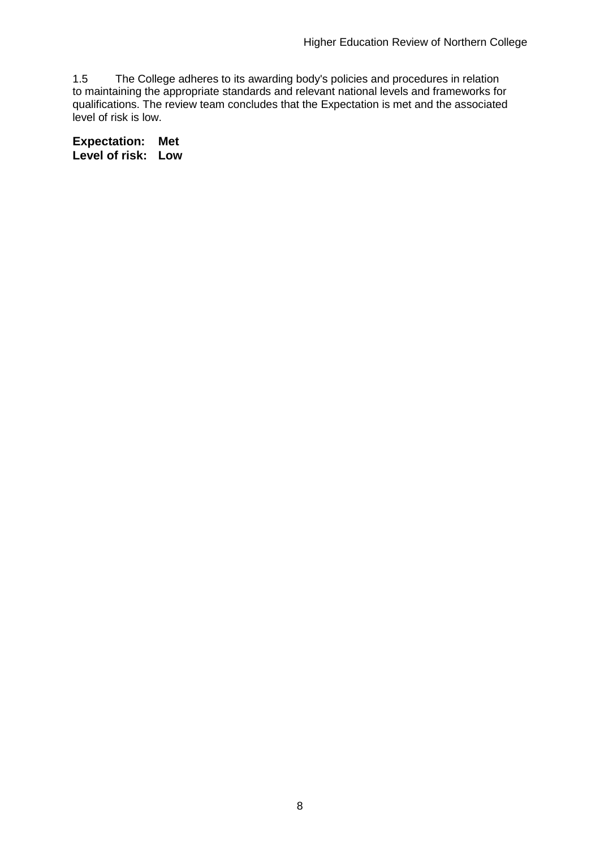1.5 The College adheres to its awarding body's policies and procedures in relation to maintaining the appropriate standards and relevant national levels and frameworks for qualifications. The review team concludes that the Expectation is met and the associated level of risk is low.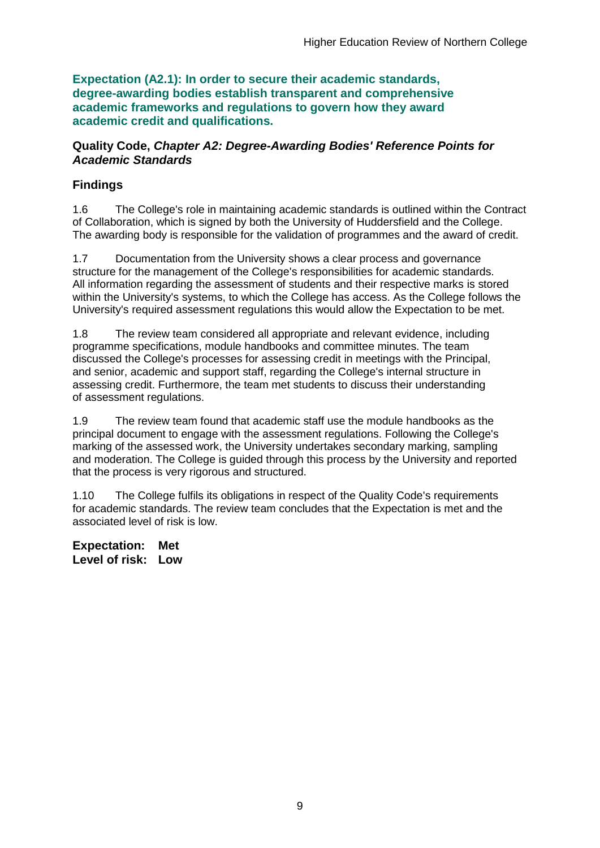**Expectation (A2.1): In order to secure their academic standards, degree-awarding bodies establish transparent and comprehensive academic frameworks and regulations to govern how they award academic credit and qualifications.**

### **Quality Code,** *Chapter A2: Degree-Awarding Bodies' Reference Points for Academic Standards*

## **Findings**

1.6 The College's role in maintaining academic standards is outlined within the Contract of Collaboration, which is signed by both the University of Huddersfield and the College. The awarding body is responsible for the validation of programmes and the award of credit.

1.7 Documentation from the University shows a clear process and governance structure for the management of the College's responsibilities for academic standards. All information regarding the assessment of students and their respective marks is stored within the University's systems, to which the College has access. As the College follows the University's required assessment regulations this would allow the Expectation to be met.

1.8 The review team considered all appropriate and relevant evidence, including programme specifications, module handbooks and committee minutes. The team discussed the College's processes for assessing credit in meetings with the Principal, and senior, academic and support staff, regarding the College's internal structure in assessing credit. Furthermore, the team met students to discuss their understanding of assessment regulations.

1.9 The review team found that academic staff use the module handbooks as the principal document to engage with the assessment regulations. Following the College's marking of the assessed work, the University undertakes secondary marking, sampling and moderation. The College is guided through this process by the University and reported that the process is very rigorous and structured.

1.10 The College fulfils its obligations in respect of the Quality Code's requirements for academic standards. The review team concludes that the Expectation is met and the associated level of risk is low.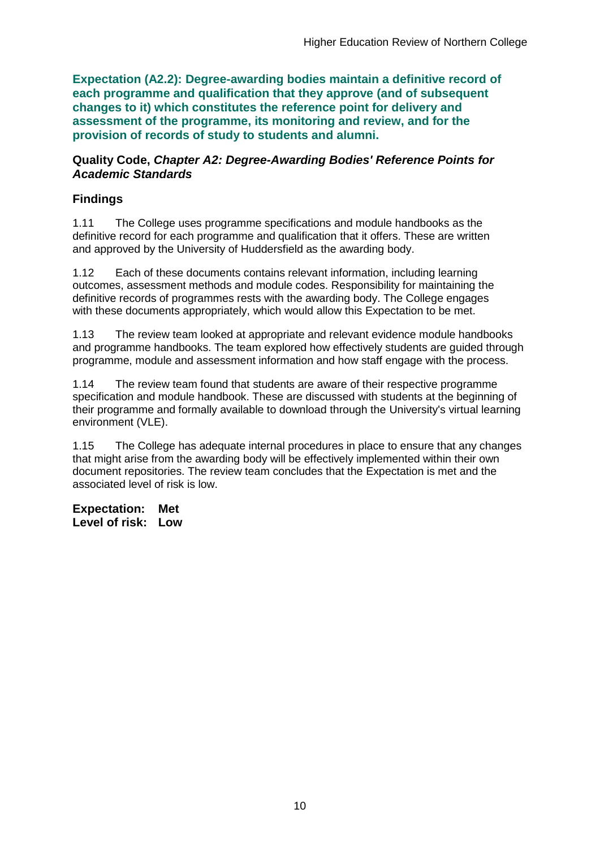**Expectation (A2.2): Degree-awarding bodies maintain a definitive record of each programme and qualification that they approve (and of subsequent changes to it) which constitutes the reference point for delivery and assessment of the programme, its monitoring and review, and for the provision of records of study to students and alumni.** 

#### **Quality Code,** *Chapter A2: Degree-Awarding Bodies' Reference Points for Academic Standards*

## **Findings**

1.11 The College uses programme specifications and module handbooks as the definitive record for each programme and qualification that it offers. These are written and approved by the University of Huddersfield as the awarding body.

1.12 Each of these documents contains relevant information, including learning outcomes, assessment methods and module codes. Responsibility for maintaining the definitive records of programmes rests with the awarding body. The College engages with these documents appropriately, which would allow this Expectation to be met.

1.13 The review team looked at appropriate and relevant evidence module handbooks and programme handbooks. The team explored how effectively students are guided through programme, module and assessment information and how staff engage with the process.

1.14 The review team found that students are aware of their respective programme specification and module handbook. These are discussed with students at the beginning of their programme and formally available to download through the University's virtual learning environment (VLE).

1.15 The College has adequate internal procedures in place to ensure that any changes that might arise from the awarding body will be effectively implemented within their own document repositories. The review team concludes that the Expectation is met and the associated level of risk is low.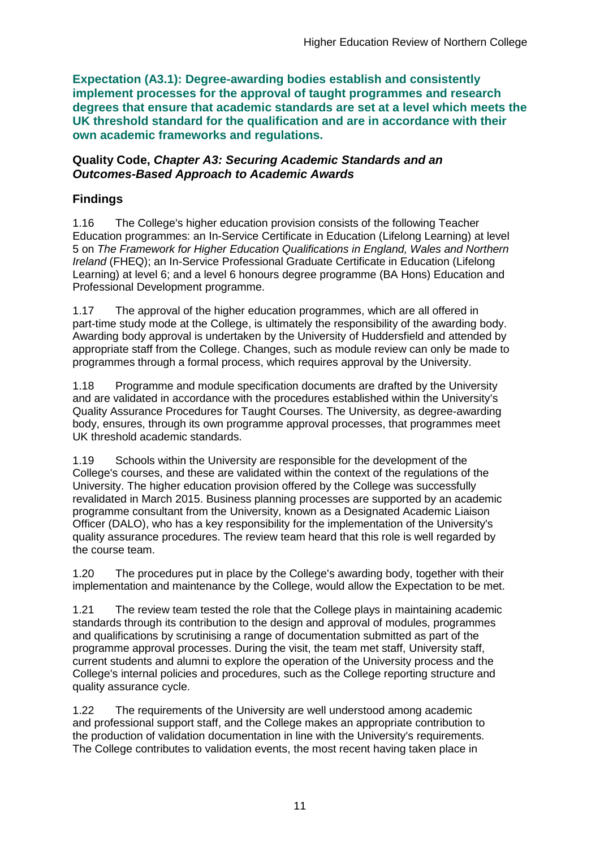**Expectation (A3.1): Degree-awarding bodies establish and consistently implement processes for the approval of taught programmes and research degrees that ensure that academic standards are set at a level which meets the UK threshold standard for the qualification and are in accordance with their own academic frameworks and regulations.**

### **Quality Code,** *Chapter A3: Securing Academic Standards and an Outcomes-Based Approach to Academic Awards*

## **Findings**

1.16 The College's higher education provision consists of the following Teacher Education programmes: an In-Service Certificate in Education (Lifelong Learning) at level 5 on *The Framework for Higher Education Qualifications in England, Wales and Northern Ireland* (FHEQ); an In-Service Professional Graduate Certificate in Education (Lifelong Learning) at level 6; and a level 6 honours degree programme (BA Hons) Education and Professional Development programme.

1.17 The approval of the higher education programmes, which are all offered in part-time study mode at the College, is ultimately the responsibility of the awarding body. Awarding body approval is undertaken by the University of Huddersfield and attended by appropriate staff from the College. Changes, such as module review can only be made to programmes through a formal process, which requires approval by the University.

1.18 Programme and module specification documents are drafted by the University and are validated in accordance with the procedures established within the University's Quality Assurance Procedures for Taught Courses. The University, as degree-awarding body, ensures, through its own programme approval processes, that programmes meet UK threshold academic standards.

1.19 Schools within the University are responsible for the development of the College's courses, and these are validated within the context of the regulations of the University. The higher education provision offered by the College was successfully revalidated in March 2015. Business planning processes are supported by an academic programme consultant from the University, known as a Designated Academic Liaison Officer (DALO), who has a key responsibility for the implementation of the University's quality assurance procedures. The review team heard that this role is well regarded by the course team.

1.20 The procedures put in place by the College's awarding body, together with their implementation and maintenance by the College, would allow the Expectation to be met.

1.21 The review team tested the role that the College plays in maintaining academic standards through its contribution to the design and approval of modules, programmes and qualifications by scrutinising a range of documentation submitted as part of the programme approval processes. During the visit, the team met staff, University staff, current students and alumni to explore the operation of the University process and the College's internal policies and procedures, such as the College reporting structure and quality assurance cycle.

1.22 The requirements of the University are well understood among academic and professional support staff, and the College makes an appropriate contribution to the production of validation documentation in line with the University's requirements. The College contributes to validation events, the most recent having taken place in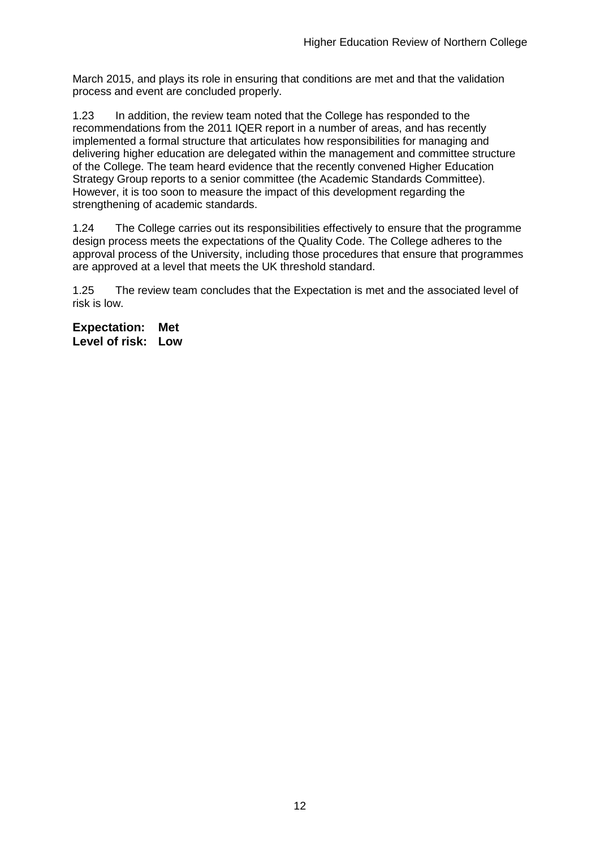March 2015, and plays its role in ensuring that conditions are met and that the validation process and event are concluded properly.

1.23 In addition, the review team noted that the College has responded to the recommendations from the 2011 IQER report in a number of areas, and has recently implemented a formal structure that articulates how responsibilities for managing and delivering higher education are delegated within the management and committee structure of the College. The team heard evidence that the recently convened Higher Education Strategy Group reports to a senior committee (the Academic Standards Committee). However, it is too soon to measure the impact of this development regarding the strengthening of academic standards.

1.24 The College carries out its responsibilities effectively to ensure that the programme design process meets the expectations of the Quality Code. The College adheres to the approval process of the University, including those procedures that ensure that programmes are approved at a level that meets the UK threshold standard.

1.25 The review team concludes that the Expectation is met and the associated level of risk is low.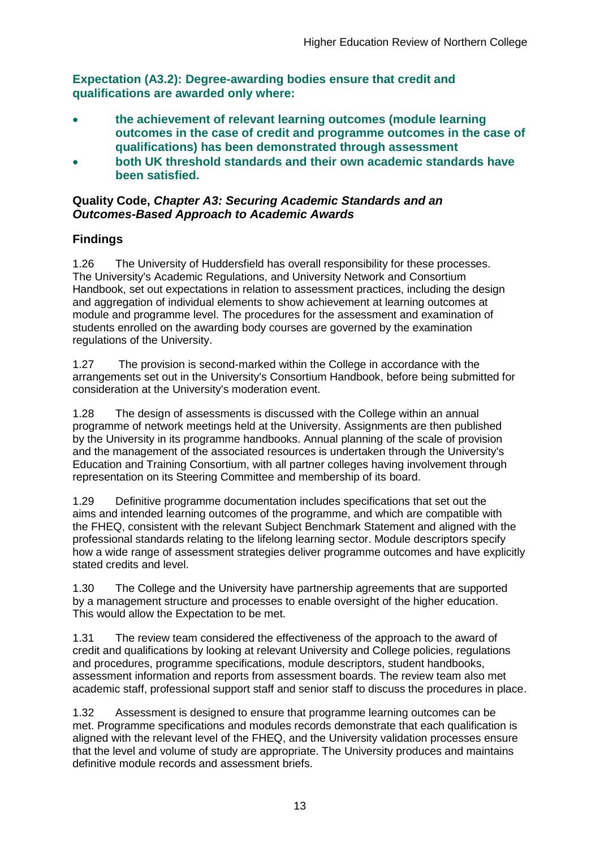**Expectation (A3.2): Degree-awarding bodies ensure that credit and qualifications are awarded only where:** 

- **the achievement of relevant learning outcomes (module learning outcomes in the case of credit and programme outcomes in the case of qualifications) has been demonstrated through assessment**
- **both UK threshold standards and their own academic standards have been satisfied.**

### **Quality Code,** *Chapter A3: Securing Academic Standards and an Outcomes-Based Approach to Academic Awards*

## **Findings**

1.26 The University of Huddersfield has overall responsibility for these processes. The University's Academic Regulations, and University Network and Consortium Handbook, set out expectations in relation to assessment practices, including the design and aggregation of individual elements to show achievement at learning outcomes at module and programme level. The procedures for the assessment and examination of students enrolled on the awarding body courses are governed by the examination regulations of the University.

1.27 The provision is second-marked within the College in accordance with the arrangements set out in the University's Consortium Handbook, before being submitted for consideration at the University's moderation event.

1.28 The design of assessments is discussed with the College within an annual programme of network meetings held at the University. Assignments are then published by the University in its programme handbooks. Annual planning of the scale of provision and the management of the associated resources is undertaken through the University's Education and Training Consortium, with all partner colleges having involvement through representation on its Steering Committee and membership of its board.

1.29 Definitive programme documentation includes specifications that set out the aims and intended learning outcomes of the programme, and which are compatible with the FHEQ, consistent with the relevant Subject Benchmark Statement and aligned with the professional standards relating to the lifelong learning sector. Module descriptors specify how a wide range of assessment strategies deliver programme outcomes and have explicitly stated credits and level.

1.30 The College and the University have partnership agreements that are supported by a management structure and processes to enable oversight of the higher education. This would allow the Expectation to be met.

1.31 The review team considered the effectiveness of the approach to the award of credit and qualifications by looking at relevant University and College policies, regulations and procedures, programme specifications, module descriptors, student handbooks, assessment information and reports from assessment boards. The review team also met academic staff, professional support staff and senior staff to discuss the procedures in place.

1.32 Assessment is designed to ensure that programme learning outcomes can be met. Programme specifications and modules records demonstrate that each qualification is aligned with the relevant level of the FHEQ, and the University validation processes ensure that the level and volume of study are appropriate. The University produces and maintains definitive module records and assessment briefs.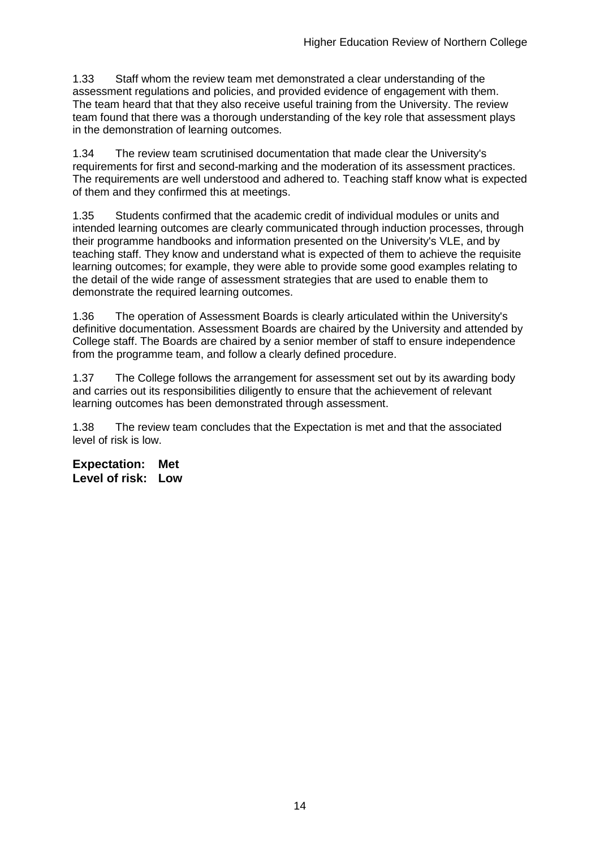1.33 Staff whom the review team met demonstrated a clear understanding of the assessment regulations and policies, and provided evidence of engagement with them. The team heard that that they also receive useful training from the University. The review team found that there was a thorough understanding of the key role that assessment plays in the demonstration of learning outcomes.

1.34 The review team scrutinised documentation that made clear the University's requirements for first and second-marking and the moderation of its assessment practices. The requirements are well understood and adhered to. Teaching staff know what is expected of them and they confirmed this at meetings.

1.35 Students confirmed that the academic credit of individual modules or units and intended learning outcomes are clearly communicated through induction processes, through their programme handbooks and information presented on the University's VLE, and by teaching staff. They know and understand what is expected of them to achieve the requisite learning outcomes; for example, they were able to provide some good examples relating to the detail of the wide range of assessment strategies that are used to enable them to demonstrate the required learning outcomes.

1.36 The operation of Assessment Boards is clearly articulated within the University's definitive documentation. Assessment Boards are chaired by the University and attended by College staff. The Boards are chaired by a senior member of staff to ensure independence from the programme team, and follow a clearly defined procedure.

1.37 The College follows the arrangement for assessment set out by its awarding body and carries out its responsibilities diligently to ensure that the achievement of relevant learning outcomes has been demonstrated through assessment.

1.38 The review team concludes that the Expectation is met and that the associated level of risk is low.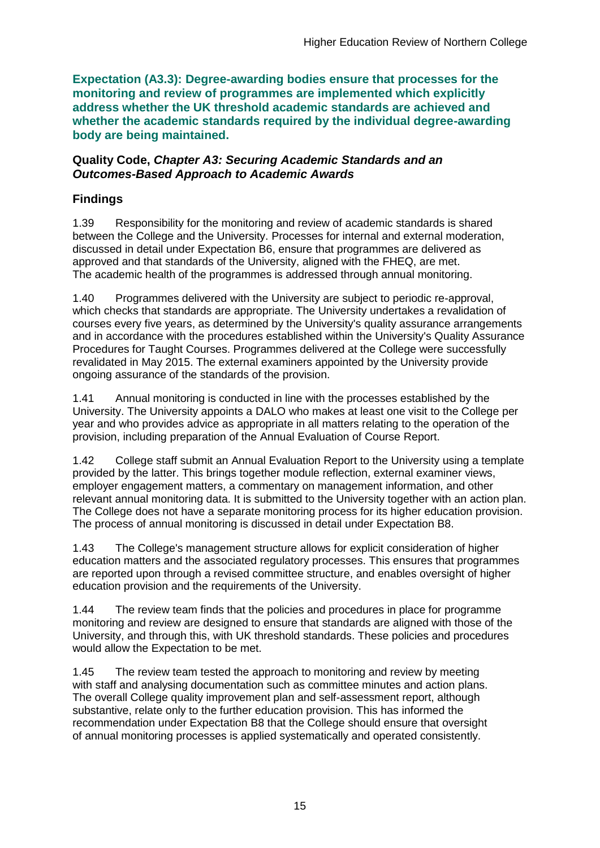**Expectation (A3.3): Degree-awarding bodies ensure that processes for the monitoring and review of programmes are implemented which explicitly address whether the UK threshold academic standards are achieved and whether the academic standards required by the individual degree-awarding body are being maintained.**

#### **Quality Code,** *Chapter A3: Securing Academic Standards and an Outcomes-Based Approach to Academic Awards*

## **Findings**

1.39 Responsibility for the monitoring and review of academic standards is shared between the College and the University. Processes for internal and external moderation, discussed in detail under Expectation B6, ensure that programmes are delivered as approved and that standards of the University, aligned with the FHEQ, are met. The academic health of the programmes is addressed through annual monitoring.

1.40 Programmes delivered with the University are subject to periodic re-approval, which checks that standards are appropriate. The University undertakes a revalidation of courses every five years, as determined by the University's quality assurance arrangements and in accordance with the procedures established within the University's Quality Assurance Procedures for Taught Courses. Programmes delivered at the College were successfully revalidated in May 2015. The external examiners appointed by the University provide ongoing assurance of the standards of the provision.

1.41 Annual monitoring is conducted in line with the processes established by the University. The University appoints a DALO who makes at least one visit to the College per year and who provides advice as appropriate in all matters relating to the operation of the provision, including preparation of the Annual Evaluation of Course Report.

1.42 College staff submit an Annual Evaluation Report to the University using a template provided by the latter. This brings together module reflection, external examiner views, employer engagement matters, a commentary on management information, and other relevant annual monitoring data. It is submitted to the University together with an action plan. The College does not have a separate monitoring process for its higher education provision. The process of annual monitoring is discussed in detail under Expectation B8.

1.43 The College's management structure allows for explicit consideration of higher education matters and the associated regulatory processes. This ensures that programmes are reported upon through a revised committee structure, and enables oversight of higher education provision and the requirements of the University.

1.44 The review team finds that the policies and procedures in place for programme monitoring and review are designed to ensure that standards are aligned with those of the University, and through this, with UK threshold standards. These policies and procedures would allow the Expectation to be met.

1.45 The review team tested the approach to monitoring and review by meeting with staff and analysing documentation such as committee minutes and action plans. The overall College quality improvement plan and self-assessment report, although substantive, relate only to the further education provision. This has informed the recommendation under Expectation B8 that the College should ensure that oversight of annual monitoring processes is applied systematically and operated consistently.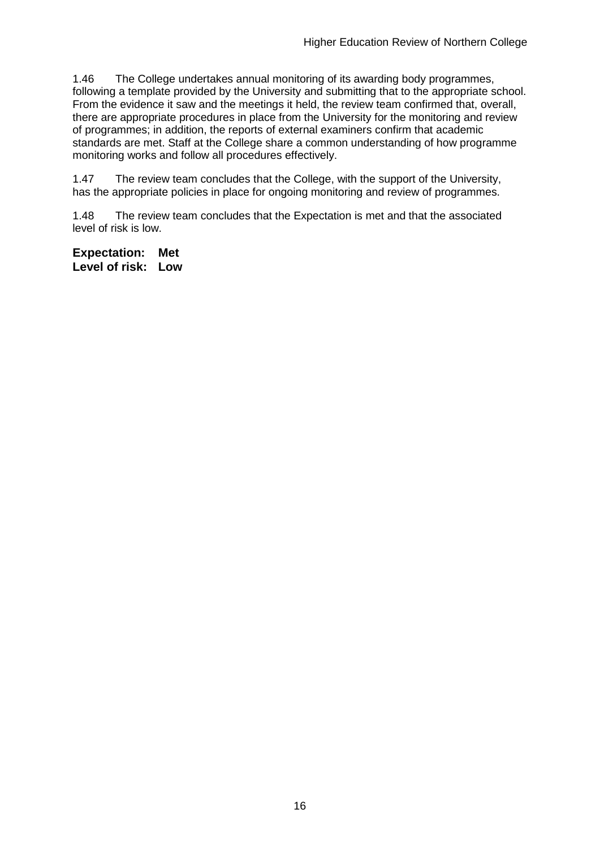1.46 The College undertakes annual monitoring of its awarding body programmes, following a template provided by the University and submitting that to the appropriate school. From the evidence it saw and the meetings it held, the review team confirmed that, overall, there are appropriate procedures in place from the University for the monitoring and review of programmes; in addition, the reports of external examiners confirm that academic standards are met. Staff at the College share a common understanding of how programme monitoring works and follow all procedures effectively.

1.47 The review team concludes that the College, with the support of the University, has the appropriate policies in place for ongoing monitoring and review of programmes.

1.48 The review team concludes that the Expectation is met and that the associated level of risk is low.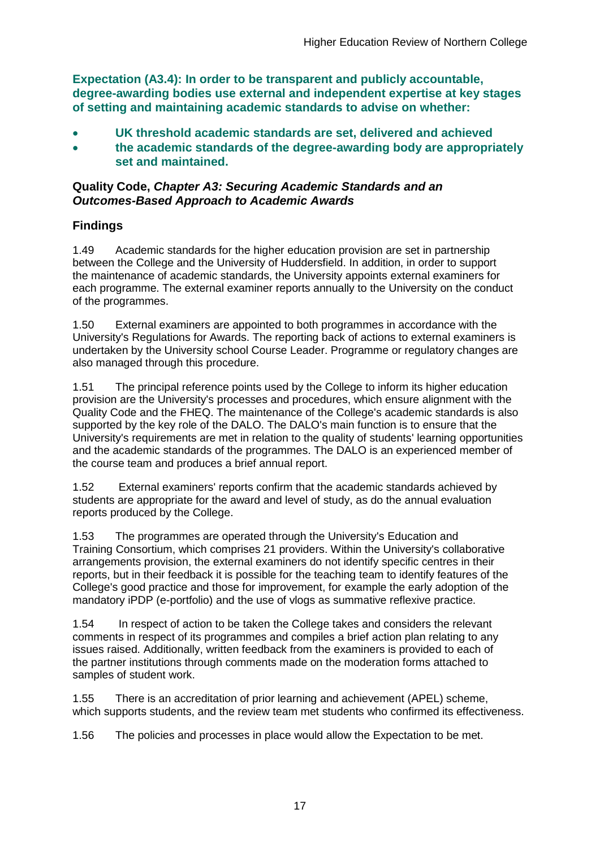**Expectation (A3.4): In order to be transparent and publicly accountable, degree-awarding bodies use external and independent expertise at key stages of setting and maintaining academic standards to advise on whether:**

- **UK threshold academic standards are set, delivered and achieved**
- **the academic standards of the degree-awarding body are appropriately set and maintained.**

### **Quality Code,** *Chapter A3: Securing Academic Standards and an Outcomes-Based Approach to Academic Awards*

## **Findings**

1.49 Academic standards for the higher education provision are set in partnership between the College and the University of Huddersfield. In addition, in order to support the maintenance of academic standards, the University appoints external examiners for each programme. The external examiner reports annually to the University on the conduct of the programmes.

1.50 External examiners are appointed to both programmes in accordance with the University's Regulations for Awards. The reporting back of actions to external examiners is undertaken by the University school Course Leader. Programme or regulatory changes are also managed through this procedure.

1.51 The principal reference points used by the College to inform its higher education provision are the University's processes and procedures, which ensure alignment with the Quality Code and the FHEQ. The maintenance of the College's academic standards is also supported by the key role of the DALO. The DALO's main function is to ensure that the University's requirements are met in relation to the quality of students' learning opportunities and the academic standards of the programmes. The DALO is an experienced member of the course team and produces a brief annual report.

1.52 External examiners' reports confirm that the academic standards achieved by students are appropriate for the award and level of study, as do the annual evaluation reports produced by the College.

1.53 The programmes are operated through the University's Education and Training Consortium, which comprises 21 providers. Within the University's collaborative arrangements provision, the external examiners do not identify specific centres in their reports, but in their feedback it is possible for the teaching team to identify features of the College's good practice and those for improvement, for example the early adoption of the mandatory iPDP (e-portfolio) and the use of vlogs as summative reflexive practice.

1.54 In respect of action to be taken the College takes and considers the relevant comments in respect of its programmes and compiles a brief action plan relating to any issues raised. Additionally, written feedback from the examiners is provided to each of the partner institutions through comments made on the moderation forms attached to samples of student work.

1.55 There is an accreditation of prior learning and achievement (APEL) scheme, which supports students, and the review team met students who confirmed its effectiveness.

1.56 The policies and processes in place would allow the Expectation to be met.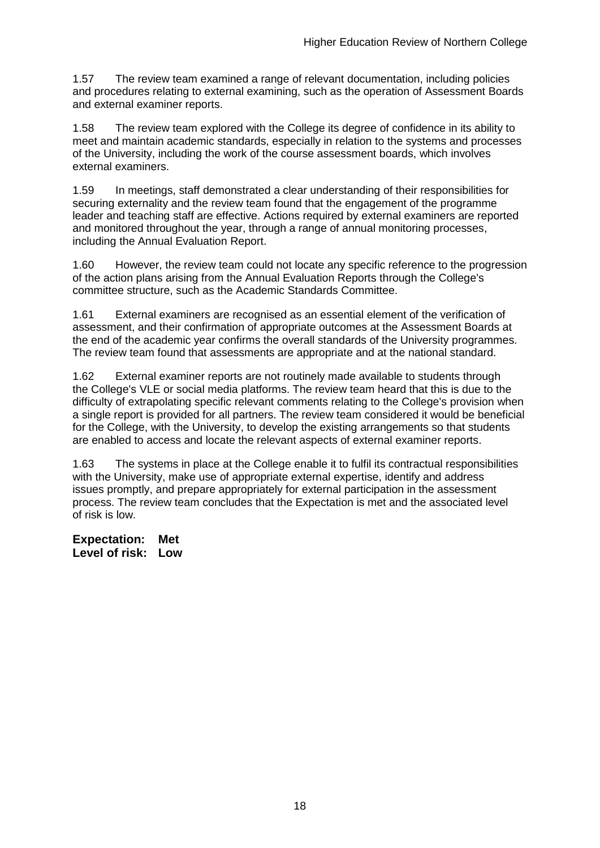1.57 The review team examined a range of relevant documentation, including policies and procedures relating to external examining, such as the operation of Assessment Boards and external examiner reports.

1.58 The review team explored with the College its degree of confidence in its ability to meet and maintain academic standards, especially in relation to the systems and processes of the University, including the work of the course assessment boards, which involves external examiners.

1.59 In meetings, staff demonstrated a clear understanding of their responsibilities for securing externality and the review team found that the engagement of the programme leader and teaching staff are effective. Actions required by external examiners are reported and monitored throughout the year, through a range of annual monitoring processes, including the Annual Evaluation Report.

1.60 However, the review team could not locate any specific reference to the progression of the action plans arising from the Annual Evaluation Reports through the College's committee structure, such as the Academic Standards Committee.

1.61 External examiners are recognised as an essential element of the verification of assessment, and their confirmation of appropriate outcomes at the Assessment Boards at the end of the academic year confirms the overall standards of the University programmes. The review team found that assessments are appropriate and at the national standard.

1.62 External examiner reports are not routinely made available to students through the College's VLE or social media platforms. The review team heard that this is due to the difficulty of extrapolating specific relevant comments relating to the College's provision when a single report is provided for all partners. The review team considered it would be beneficial for the College, with the University, to develop the existing arrangements so that students are enabled to access and locate the relevant aspects of external examiner reports.

1.63 The systems in place at the College enable it to fulfil its contractual responsibilities with the University, make use of appropriate external expertise, identify and address issues promptly, and prepare appropriately for external participation in the assessment process. The review team concludes that the Expectation is met and the associated level of risk is low.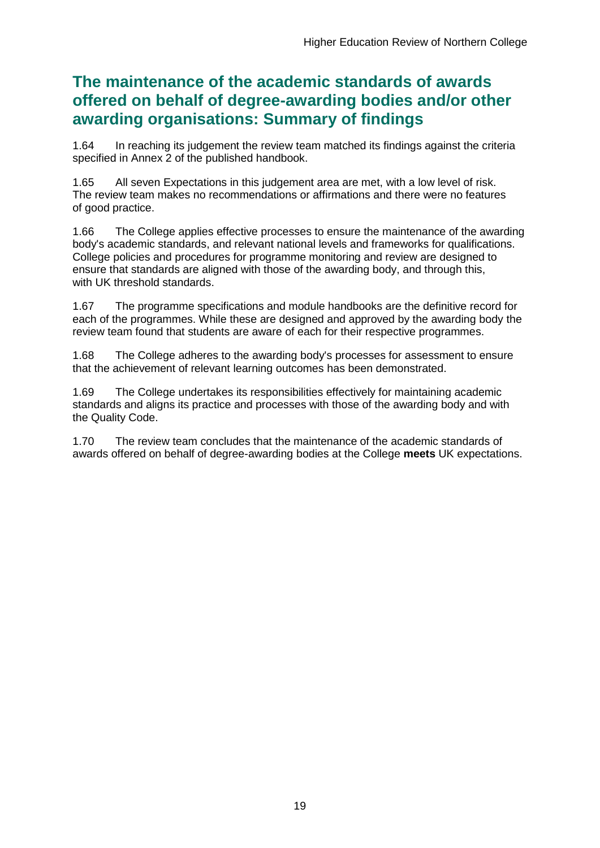## **The maintenance of the academic standards of awards offered on behalf of degree-awarding bodies and/or other awarding organisations: Summary of findings**

1.64 In reaching its judgement the review team matched its findings against the criteria specified in Annex 2 of the published handbook.

1.65 All seven Expectations in this judgement area are met, with a low level of risk. The review team makes no recommendations or affirmations and there were no features of good practice.

1.66 The College applies effective processes to ensure the maintenance of the awarding body's academic standards, and relevant national levels and frameworks for qualifications. College policies and procedures for programme monitoring and review are designed to ensure that standards are aligned with those of the awarding body, and through this, with UK threshold standards.

1.67 The programme specifications and module handbooks are the definitive record for each of the programmes. While these are designed and approved by the awarding body the review team found that students are aware of each for their respective programmes.

1.68 The College adheres to the awarding body's processes for assessment to ensure that the achievement of relevant learning outcomes has been demonstrated.

1.69 The College undertakes its responsibilities effectively for maintaining academic standards and aligns its practice and processes with those of the awarding body and with the Quality Code.

1.70 The review team concludes that the maintenance of the academic standards of awards offered on behalf of degree-awarding bodies at the College **meets** UK expectations.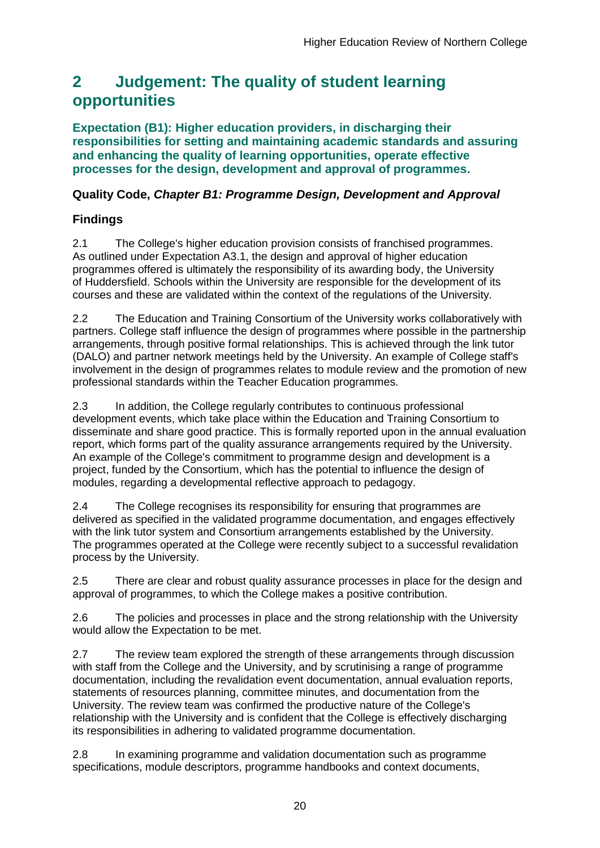## <span id="page-20-0"></span>**2 Judgement: The quality of student learning opportunities**

**Expectation (B1): Higher education providers, in discharging their responsibilities for setting and maintaining academic standards and assuring and enhancing the quality of learning opportunities, operate effective processes for the design, development and approval of programmes.**

## **Quality Code,** *Chapter B1: Programme Design, Development and Approval*

## **Findings**

2.1 The College's higher education provision consists of franchised programmes. As outlined under Expectation A3.1, the design and approval of higher education programmes offered is ultimately the responsibility of its awarding body, the University of Huddersfield. Schools within the University are responsible for the development of its courses and these are validated within the context of the regulations of the University.

2.2 The Education and Training Consortium of the University works collaboratively with partners. College staff influence the design of programmes where possible in the partnership arrangements, through positive formal relationships. This is achieved through the link tutor (DALO) and partner network meetings held by the University. An example of College staff's involvement in the design of programmes relates to module review and the promotion of new professional standards within the Teacher Education programmes.

2.3 In addition, the College regularly contributes to continuous professional development events, which take place within the Education and Training Consortium to disseminate and share good practice. This is formally reported upon in the annual evaluation report, which forms part of the quality assurance arrangements required by the University. An example of the College's commitment to programme design and development is a project, funded by the Consortium, which has the potential to influence the design of modules, regarding a developmental reflective approach to pedagogy.

2.4 The College recognises its responsibility for ensuring that programmes are delivered as specified in the validated programme documentation, and engages effectively with the link tutor system and Consortium arrangements established by the University. The programmes operated at the College were recently subject to a successful revalidation process by the University.

2.5 There are clear and robust quality assurance processes in place for the design and approval of programmes, to which the College makes a positive contribution.

2.6 The policies and processes in place and the strong relationship with the University would allow the Expectation to be met.

2.7 The review team explored the strength of these arrangements through discussion with staff from the College and the University, and by scrutinising a range of programme documentation, including the revalidation event documentation, annual evaluation reports, statements of resources planning, committee minutes, and documentation from the University. The review team was confirmed the productive nature of the College's relationship with the University and is confident that the College is effectively discharging its responsibilities in adhering to validated programme documentation.

2.8 In examining programme and validation documentation such as programme specifications, module descriptors, programme handbooks and context documents,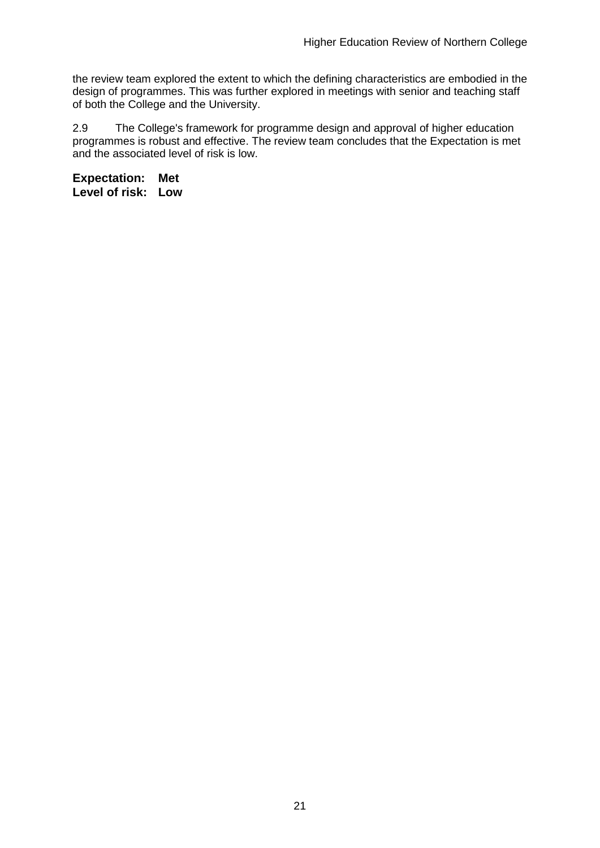the review team explored the extent to which the defining characteristics are embodied in the design of programmes. This was further explored in meetings with senior and teaching staff of both the College and the University.

2.9 The College's framework for programme design and approval of higher education programmes is robust and effective. The review team concludes that the Expectation is met and the associated level of risk is low.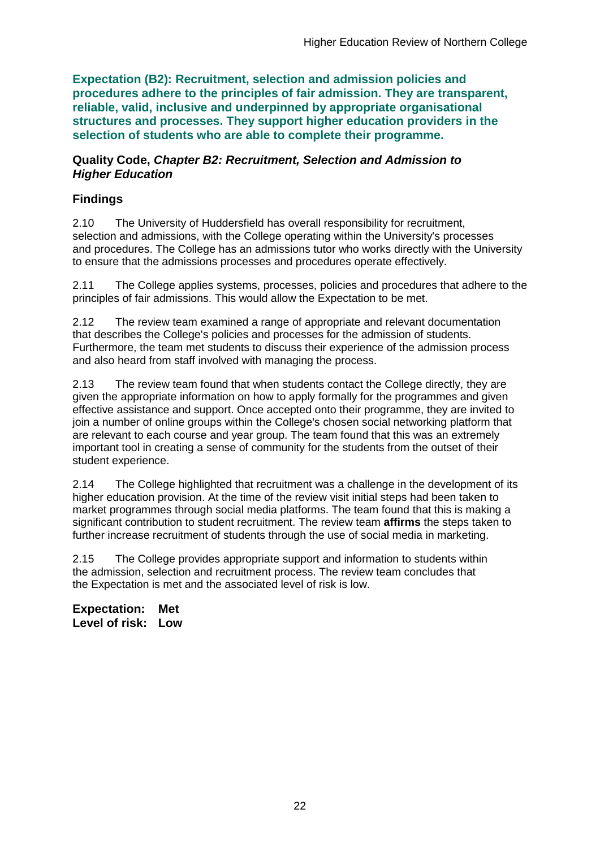**Expectation (B2): Recruitment, selection and admission policies and procedures adhere to the principles of fair admission. They are transparent, reliable, valid, inclusive and underpinned by appropriate organisational structures and processes. They support higher education providers in the selection of students who are able to complete their programme.**

#### **Quality Code,** *Chapter B2: Recruitment, Selection and Admission to Higher Education*

### **Findings**

2.10 The University of Huddersfield has overall responsibility for recruitment, selection and admissions, with the College operating within the University's processes and procedures. The College has an admissions tutor who works directly with the University to ensure that the admissions processes and procedures operate effectively.

2.11 The College applies systems, processes, policies and procedures that adhere to the principles of fair admissions. This would allow the Expectation to be met.

2.12 The review team examined a range of appropriate and relevant documentation that describes the College's policies and processes for the admission of students. Furthermore, the team met students to discuss their experience of the admission process and also heard from staff involved with managing the process.

2.13 The review team found that when students contact the College directly, they are given the appropriate information on how to apply formally for the programmes and given effective assistance and support. Once accepted onto their programme, they are invited to join a number of online groups within the College's chosen social networking platform that are relevant to each course and year group. The team found that this was an extremely important tool in creating a sense of community for the students from the outset of their student experience.

2.14 The College highlighted that recruitment was a challenge in the development of its higher education provision. At the time of the review visit initial steps had been taken to market programmes through social media platforms. The team found that this is making a significant contribution to student recruitment. The review team **affirms** the steps taken to further increase recruitment of students through the use of social media in marketing.

2.15 The College provides appropriate support and information to students within the admission, selection and recruitment process. The review team concludes that the Expectation is met and the associated level of risk is low.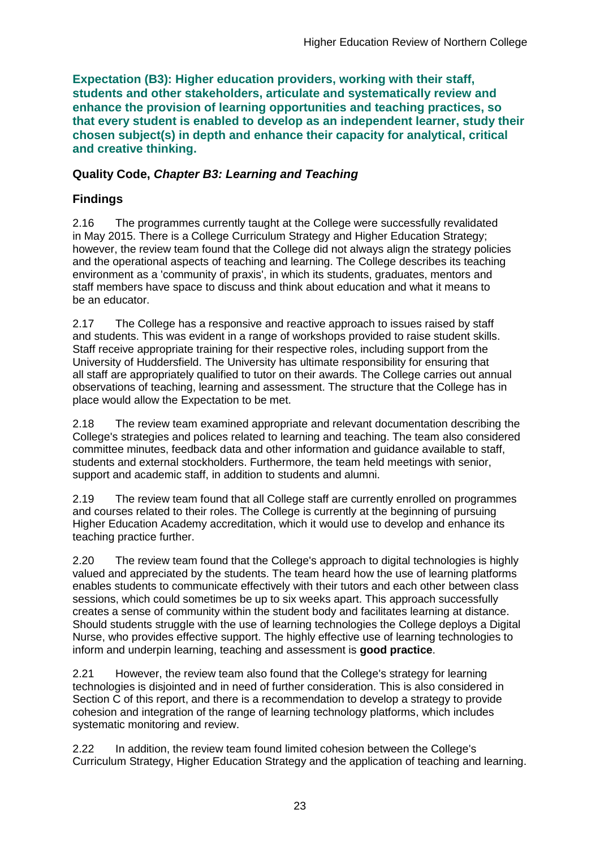**Expectation (B3): Higher education providers, working with their staff, students and other stakeholders, articulate and systematically review and enhance the provision of learning opportunities and teaching practices, so that every student is enabled to develop as an independent learner, study their chosen subject(s) in depth and enhance their capacity for analytical, critical and creative thinking.**

### **Quality Code,** *Chapter B3: Learning and Teaching*

### **Findings**

2.16 The programmes currently taught at the College were successfully revalidated in May 2015. There is a College Curriculum Strategy and Higher Education Strategy; however, the review team found that the College did not always align the strategy policies and the operational aspects of teaching and learning. The College describes its teaching environment as a 'community of praxis', in which its students, graduates, mentors and staff members have space to discuss and think about education and what it means to be an educator.

2.17 The College has a responsive and reactive approach to issues raised by staff and students. This was evident in a range of workshops provided to raise student skills. Staff receive appropriate training for their respective roles, including support from the University of Huddersfield. The University has ultimate responsibility for ensuring that all staff are appropriately qualified to tutor on their awards. The College carries out annual observations of teaching, learning and assessment. The structure that the College has in place would allow the Expectation to be met.

2.18 The review team examined appropriate and relevant documentation describing the College's strategies and polices related to learning and teaching. The team also considered committee minutes, feedback data and other information and guidance available to staff, students and external stockholders. Furthermore, the team held meetings with senior, support and academic staff, in addition to students and alumni.

2.19 The review team found that all College staff are currently enrolled on programmes and courses related to their roles. The College is currently at the beginning of pursuing Higher Education Academy accreditation, which it would use to develop and enhance its teaching practice further.

2.20 The review team found that the College's approach to digital technologies is highly valued and appreciated by the students. The team heard how the use of learning platforms enables students to communicate effectively with their tutors and each other between class sessions, which could sometimes be up to six weeks apart. This approach successfully creates a sense of community within the student body and facilitates learning at distance. Should students struggle with the use of learning technologies the College deploys a Digital Nurse, who provides effective support. The highly effective use of learning technologies to inform and underpin learning, teaching and assessment is **good practice**.

2.21 However, the review team also found that the College's strategy for learning technologies is disjointed and in need of further consideration. This is also considered in Section  $\tilde{C}$  of this report, and there is a recommendation to develop a strategy to provide cohesion and integration of the range of learning technology platforms, which includes systematic monitoring and review.

2.22 In addition, the review team found limited cohesion between the College's Curriculum Strategy, Higher Education Strategy and the application of teaching and learning.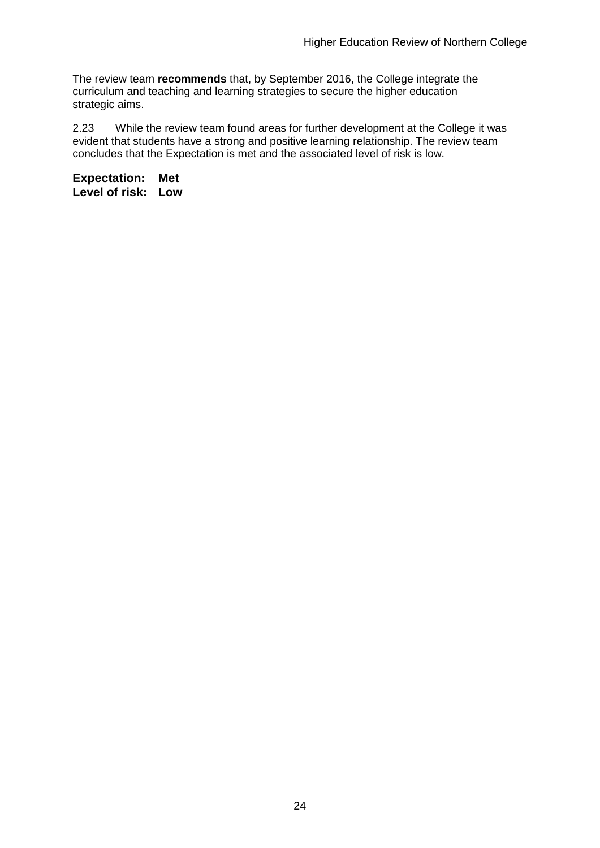The review team **recommends** that, by September 2016, the College integrate the curriculum and teaching and learning strategies to secure the higher education strategic aims.

2.23 While the review team found areas for further development at the College it was evident that students have a strong and positive learning relationship. The review team concludes that the Expectation is met and the associated level of risk is low.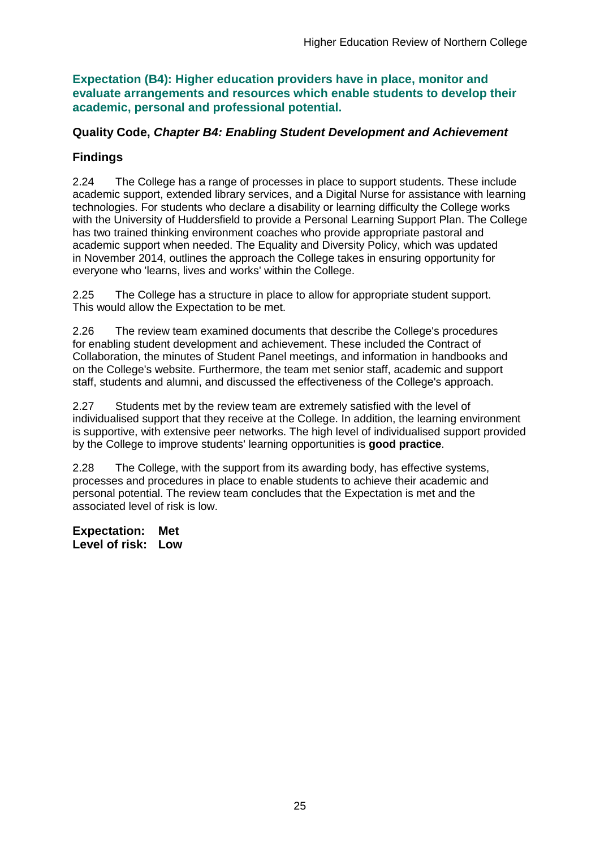**Expectation (B4): Higher education providers have in place, monitor and evaluate arrangements and resources which enable students to develop their academic, personal and professional potential.**

### **Quality Code,** *Chapter B4: Enabling Student Development and Achievement*

### **Findings**

2.24 The College has a range of processes in place to support students. These include academic support, extended library services, and a Digital Nurse for assistance with learning technologies. For students who declare a disability or learning difficulty the College works with the University of Huddersfield to provide a Personal Learning Support Plan. The College has two trained thinking environment coaches who provide appropriate pastoral and academic support when needed. The Equality and Diversity Policy, which was updated in November 2014, outlines the approach the College takes in ensuring opportunity for everyone who 'learns, lives and works' within the College.

2.25 The College has a structure in place to allow for appropriate student support. This would allow the Expectation to be met.

2.26 The review team examined documents that describe the College's procedures for enabling student development and achievement. These included the Contract of Collaboration, the minutes of Student Panel meetings, and information in handbooks and on the College's website. Furthermore, the team met senior staff, academic and support staff, students and alumni, and discussed the effectiveness of the College's approach.

2.27 Students met by the review team are extremely satisfied with the level of individualised support that they receive at the College. In addition, the learning environment is supportive, with extensive peer networks. The high level of individualised support provided by the College to improve students' learning opportunities is **good practice**.

2.28 The College, with the support from its awarding body, has effective systems, processes and procedures in place to enable students to achieve their academic and personal potential. The review team concludes that the Expectation is met and the associated level of risk is low.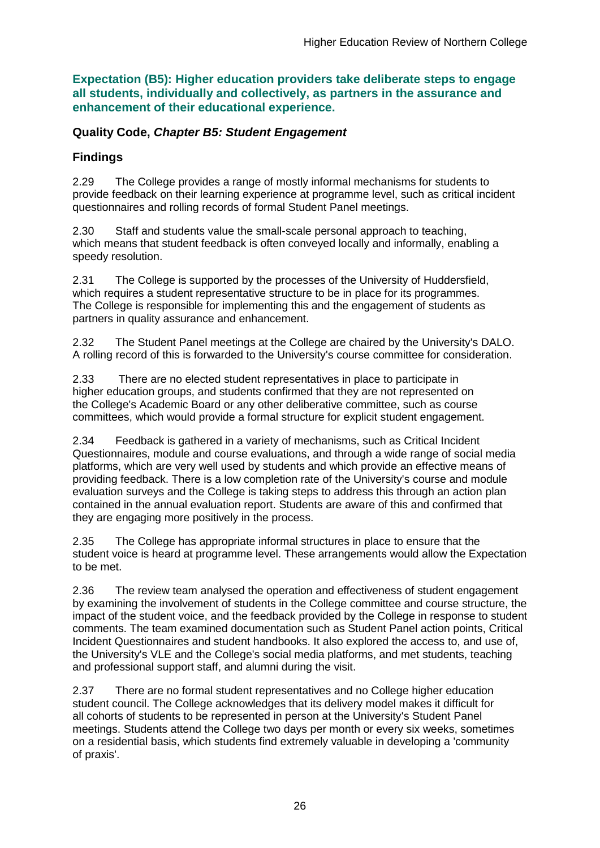**Expectation (B5): Higher education providers take deliberate steps to engage all students, individually and collectively, as partners in the assurance and enhancement of their educational experience.**

### **Quality Code,** *Chapter B5: Student Engagement*

## **Findings**

2.29 The College provides a range of mostly informal mechanisms for students to provide feedback on their learning experience at programme level, such as critical incident questionnaires and rolling records of formal Student Panel meetings.

2.30 Staff and students value the small-scale personal approach to teaching, which means that student feedback is often conveyed locally and informally, enabling a speedy resolution.

2.31 The College is supported by the processes of the University of Huddersfield, which requires a student representative structure to be in place for its programmes. The College is responsible for implementing this and the engagement of students as partners in quality assurance and enhancement.

2.32 The Student Panel meetings at the College are chaired by the University's DALO. A rolling record of this is forwarded to the University's course committee for consideration.

2.33 There are no elected student representatives in place to participate in higher education groups, and students confirmed that they are not represented on the College's Academic Board or any other deliberative committee, such as course committees, which would provide a formal structure for explicit student engagement.

2.34 Feedback is gathered in a variety of mechanisms, such as Critical Incident Questionnaires, module and course evaluations, and through a wide range of social media platforms, which are very well used by students and which provide an effective means of providing feedback. There is a low completion rate of the University's course and module evaluation surveys and the College is taking steps to address this through an action plan contained in the annual evaluation report. Students are aware of this and confirmed that they are engaging more positively in the process.

2.35 The College has appropriate informal structures in place to ensure that the student voice is heard at programme level. These arrangements would allow the Expectation to be met.

2.36 The review team analysed the operation and effectiveness of student engagement by examining the involvement of students in the College committee and course structure, the impact of the student voice, and the feedback provided by the College in response to student comments. The team examined documentation such as Student Panel action points, Critical Incident Questionnaires and student handbooks. It also explored the access to, and use of, the University's VLE and the College's social media platforms, and met students, teaching and professional support staff, and alumni during the visit.

2.37 There are no formal student representatives and no College higher education student council. The College acknowledges that its delivery model makes it difficult for all cohorts of students to be represented in person at the University's Student Panel meetings. Students attend the College two days per month or every six weeks, sometimes on a residential basis, which students find extremely valuable in developing a 'community of praxis'.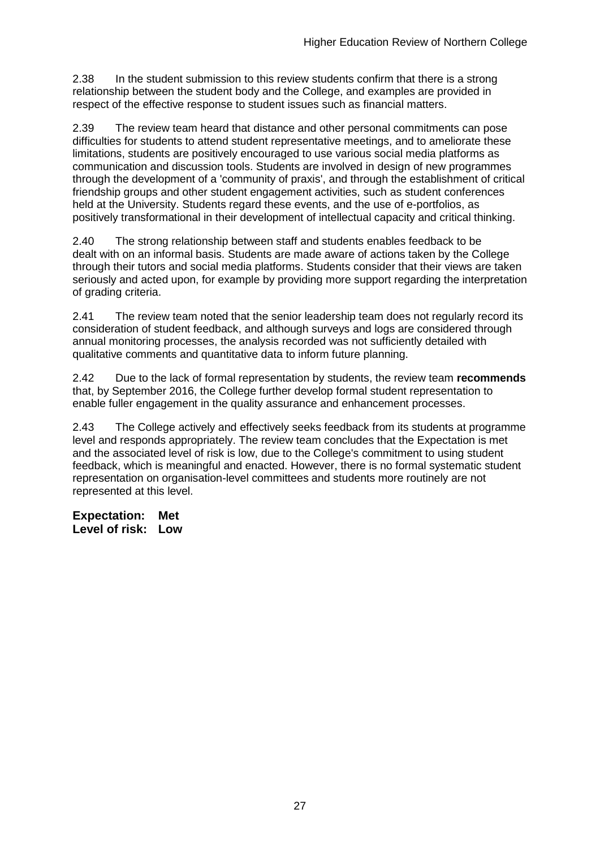2.38 In the student submission to this review students confirm that there is a strong relationship between the student body and the College, and examples are provided in respect of the effective response to student issues such as financial matters.

2.39 The review team heard that distance and other personal commitments can pose difficulties for students to attend student representative meetings, and to ameliorate these limitations, students are positively encouraged to use various social media platforms as communication and discussion tools. Students are involved in design of new programmes through the development of a 'community of praxis', and through the establishment of critical friendship groups and other student engagement activities, such as student conferences held at the University. Students regard these events, and the use of e-portfolios, as positively transformational in their development of intellectual capacity and critical thinking.

2.40 The strong relationship between staff and students enables feedback to be dealt with on an informal basis. Students are made aware of actions taken by the College through their tutors and social media platforms. Students consider that their views are taken seriously and acted upon, for example by providing more support regarding the interpretation of grading criteria.

2.41 The review team noted that the senior leadership team does not regularly record its consideration of student feedback, and although surveys and logs are considered through annual monitoring processes, the analysis recorded was not sufficiently detailed with qualitative comments and quantitative data to inform future planning.

2.42 Due to the lack of formal representation by students, the review team **recommends** that, by September 2016, the College further develop formal student representation to enable fuller engagement in the quality assurance and enhancement processes.

2.43 The College actively and effectively seeks feedback from its students at programme level and responds appropriately. The review team concludes that the Expectation is met and the associated level of risk is low, due to the College's commitment to using student feedback, which is meaningful and enacted. However, there is no formal systematic student representation on organisation-level committees and students more routinely are not represented at this level.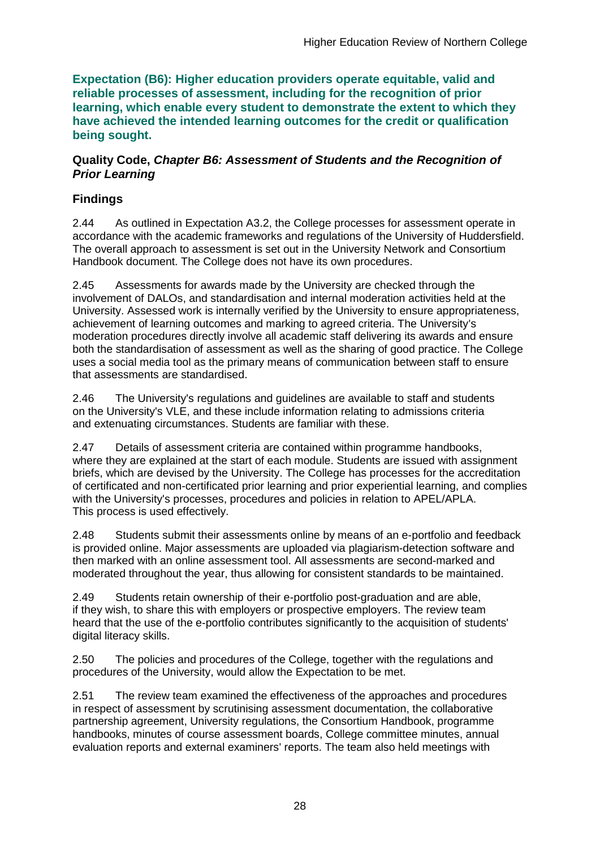**Expectation (B6): Higher education providers operate equitable, valid and reliable processes of assessment, including for the recognition of prior learning, which enable every student to demonstrate the extent to which they have achieved the intended learning outcomes for the credit or qualification being sought.**

### **Quality Code,** *Chapter B6: Assessment of Students and the Recognition of Prior Learning*

## **Findings**

2.44 As outlined in Expectation A3.2, the College processes for assessment operate in accordance with the academic frameworks and regulations of the University of Huddersfield. The overall approach to assessment is set out in the University Network and Consortium Handbook document. The College does not have its own procedures.

2.45 Assessments for awards made by the University are checked through the involvement of DALOs, and standardisation and internal moderation activities held at the University. Assessed work is internally verified by the University to ensure appropriateness, achievement of learning outcomes and marking to agreed criteria. The University's moderation procedures directly involve all academic staff delivering its awards and ensure both the standardisation of assessment as well as the sharing of good practice. The College uses a social media tool as the primary means of communication between staff to ensure that assessments are standardised.

2.46 The University's regulations and guidelines are available to staff and students on the University's VLE, and these include information relating to admissions criteria and extenuating circumstances. Students are familiar with these.

2.47 Details of assessment criteria are contained within programme handbooks, where they are explained at the start of each module. Students are issued with assignment briefs, which are devised by the University. The College has processes for the accreditation of certificated and non-certificated prior learning and prior experiential learning, and complies with the University's processes, procedures and policies in relation to APEL/APLA. This process is used effectively.

2.48 Students submit their assessments online by means of an e-portfolio and feedback is provided online. Major assessments are uploaded via plagiarism-detection software and then marked with an online assessment tool. All assessments are second-marked and moderated throughout the year, thus allowing for consistent standards to be maintained.

2.49 Students retain ownership of their e-portfolio post-graduation and are able, if they wish, to share this with employers or prospective employers. The review team heard that the use of the e-portfolio contributes significantly to the acquisition of students' digital literacy skills.

2.50 The policies and procedures of the College, together with the regulations and procedures of the University, would allow the Expectation to be met.

2.51 The review team examined the effectiveness of the approaches and procedures in respect of assessment by scrutinising assessment documentation, the collaborative partnership agreement, University regulations, the Consortium Handbook, programme handbooks, minutes of course assessment boards, College committee minutes, annual evaluation reports and external examiners' reports. The team also held meetings with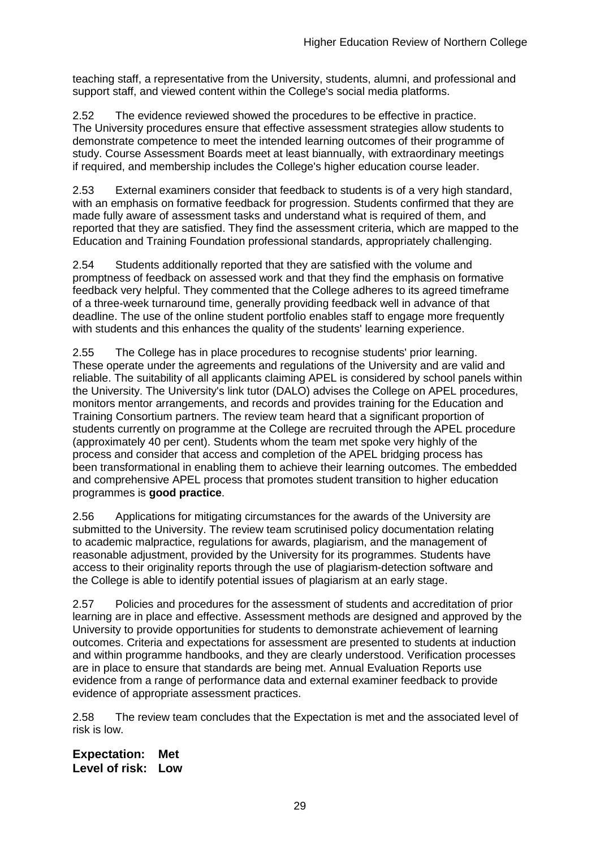teaching staff, a representative from the University, students, alumni, and professional and support staff, and viewed content within the College's social media platforms.

2.52 The evidence reviewed showed the procedures to be effective in practice. The University procedures ensure that effective assessment strategies allow students to demonstrate competence to meet the intended learning outcomes of their programme of study. Course Assessment Boards meet at least biannually, with extraordinary meetings if required, and membership includes the College's higher education course leader.

2.53 External examiners consider that feedback to students is of a very high standard, with an emphasis on formative feedback for progression. Students confirmed that they are made fully aware of assessment tasks and understand what is required of them, and reported that they are satisfied. They find the assessment criteria, which are mapped to the Education and Training Foundation professional standards, appropriately challenging.

2.54 Students additionally reported that they are satisfied with the volume and promptness of feedback on assessed work and that they find the emphasis on formative feedback very helpful. They commented that the College adheres to its agreed timeframe of a three-week turnaround time, generally providing feedback well in advance of that deadline. The use of the online student portfolio enables staff to engage more frequently with students and this enhances the quality of the students' learning experience.

2.55 The College has in place procedures to recognise students' prior learning. These operate under the agreements and regulations of the University and are valid and reliable. The suitability of all applicants claiming APEL is considered by school panels within the University. The University's link tutor (DALO) advises the College on APEL procedures, monitors mentor arrangements, and records and provides training for the Education and Training Consortium partners. The review team heard that a significant proportion of students currently on programme at the College are recruited through the APEL procedure (approximately 40 per cent). Students whom the team met spoke very highly of the process and consider that access and completion of the APEL bridging process has been transformational in enabling them to achieve their learning outcomes. The embedded and comprehensive APEL process that promotes student transition to higher education programmes is **good practice**.

2.56 Applications for mitigating circumstances for the awards of the University are submitted to the University. The review team scrutinised policy documentation relating to academic malpractice, regulations for awards, plagiarism, and the management of reasonable adjustment, provided by the University for its programmes. Students have access to their originality reports through the use of plagiarism-detection software and the College is able to identify potential issues of plagiarism at an early stage.

2.57 Policies and procedures for the assessment of students and accreditation of prior learning are in place and effective. Assessment methods are designed and approved by the University to provide opportunities for students to demonstrate achievement of learning outcomes. Criteria and expectations for assessment are presented to students at induction and within programme handbooks, and they are clearly understood. Verification processes are in place to ensure that standards are being met. Annual Evaluation Reports use evidence from a range of performance data and external examiner feedback to provide evidence of appropriate assessment practices.

2.58 The review team concludes that the Expectation is met and the associated level of risk is low.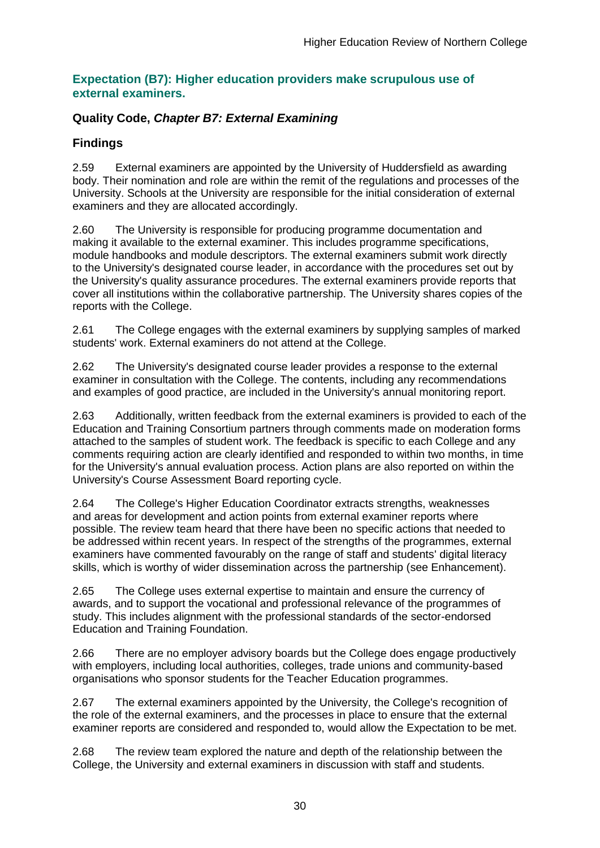### **Expectation (B7): Higher education providers make scrupulous use of external examiners.**

## **Quality Code,** *Chapter B7: External Examining*

## **Findings**

2.59 External examiners are appointed by the University of Huddersfield as awarding body. Their nomination and role are within the remit of the regulations and processes of the University. Schools at the University are responsible for the initial consideration of external examiners and they are allocated accordingly.

2.60 The University is responsible for producing programme documentation and making it available to the external examiner. This includes programme specifications, module handbooks and module descriptors. The external examiners submit work directly to the University's designated course leader, in accordance with the procedures set out by the University's quality assurance procedures. The external examiners provide reports that cover all institutions within the collaborative partnership. The University shares copies of the reports with the College.

2.61 The College engages with the external examiners by supplying samples of marked students' work. External examiners do not attend at the College.

2.62 The University's designated course leader provides a response to the external examiner in consultation with the College. The contents, including any recommendations and examples of good practice, are included in the University's annual monitoring report.

2.63 Additionally, written feedback from the external examiners is provided to each of the Education and Training Consortium partners through comments made on moderation forms attached to the samples of student work. The feedback is specific to each College and any comments requiring action are clearly identified and responded to within two months, in time for the University's annual evaluation process. Action plans are also reported on within the University's Course Assessment Board reporting cycle.

2.64 The College's Higher Education Coordinator extracts strengths, weaknesses and areas for development and action points from external examiner reports where possible. The review team heard that there have been no specific actions that needed to be addressed within recent years. In respect of the strengths of the programmes, external examiners have commented favourably on the range of staff and students' digital literacy skills, which is worthy of wider dissemination across the partnership (see Enhancement).

2.65 The College uses external expertise to maintain and ensure the currency of awards, and to support the vocational and professional relevance of the programmes of study. This includes alignment with the professional standards of the sector-endorsed Education and Training Foundation.

2.66 There are no employer advisory boards but the College does engage productively with employers, including local authorities, colleges, trade unions and community-based organisations who sponsor students for the Teacher Education programmes.

2.67 The external examiners appointed by the University, the College's recognition of the role of the external examiners, and the processes in place to ensure that the external examiner reports are considered and responded to, would allow the Expectation to be met.

2.68 The review team explored the nature and depth of the relationship between the College, the University and external examiners in discussion with staff and students.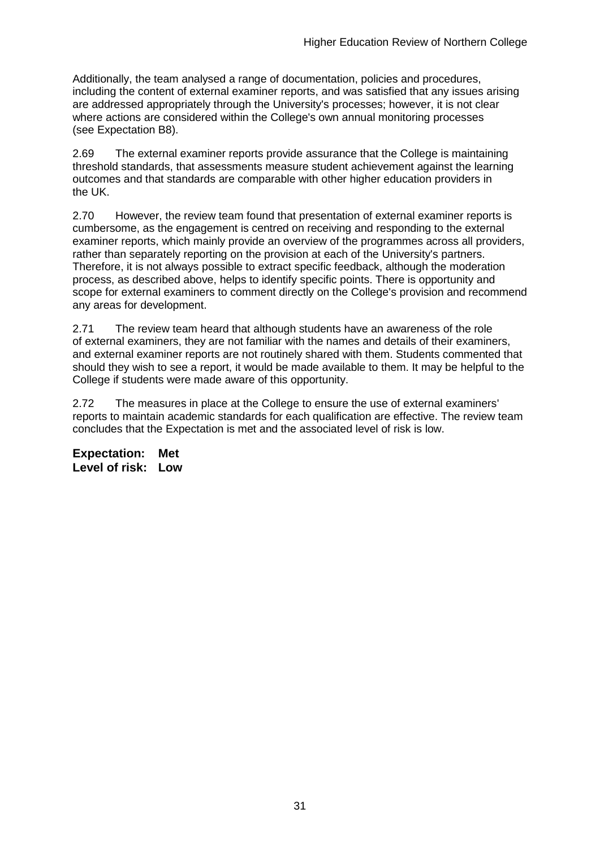Additionally, the team analysed a range of documentation, policies and procedures, including the content of external examiner reports, and was satisfied that any issues arising are addressed appropriately through the University's processes; however, it is not clear where actions are considered within the College's own annual monitoring processes (see Expectation B8).

2.69 The external examiner reports provide assurance that the College is maintaining threshold standards, that assessments measure student achievement against the learning outcomes and that standards are comparable with other higher education providers in the UK.

2.70 However, the review team found that presentation of external examiner reports is cumbersome, as the engagement is centred on receiving and responding to the external examiner reports, which mainly provide an overview of the programmes across all providers, rather than separately reporting on the provision at each of the University's partners. Therefore, it is not always possible to extract specific feedback, although the moderation process, as described above, helps to identify specific points. There is opportunity and scope for external examiners to comment directly on the College's provision and recommend any areas for development.

2.71 The review team heard that although students have an awareness of the role of external examiners, they are not familiar with the names and details of their examiners, and external examiner reports are not routinely shared with them. Students commented that should they wish to see a report, it would be made available to them. It may be helpful to the College if students were made aware of this opportunity.

2.72 The measures in place at the College to ensure the use of external examiners' reports to maintain academic standards for each qualification are effective. The review team concludes that the Expectation is met and the associated level of risk is low.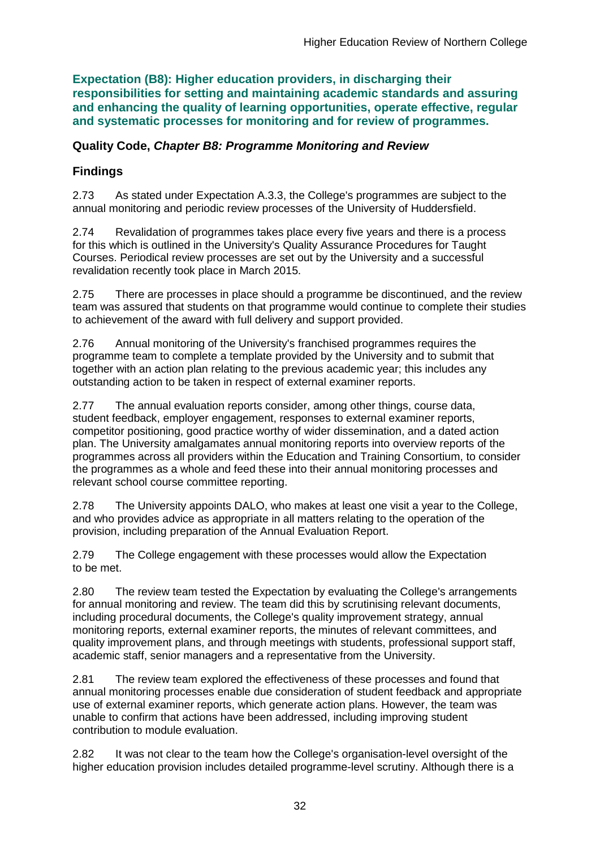**Expectation (B8): Higher education providers, in discharging their responsibilities for setting and maintaining academic standards and assuring and enhancing the quality of learning opportunities, operate effective, regular and systematic processes for monitoring and for review of programmes.**

### **Quality Code,** *Chapter B8: Programme Monitoring and Review*

## **Findings**

2.73 As stated under Expectation A.3.3, the College's programmes are subject to the annual monitoring and periodic review processes of the University of Huddersfield.

2.74 Revalidation of programmes takes place every five years and there is a process for this which is outlined in the University's Quality Assurance Procedures for Taught Courses. Periodical review processes are set out by the University and a successful revalidation recently took place in March 2015.

2.75 There are processes in place should a programme be discontinued, and the review team was assured that students on that programme would continue to complete their studies to achievement of the award with full delivery and support provided.

2.76 Annual monitoring of the University's franchised programmes requires the programme team to complete a template provided by the University and to submit that together with an action plan relating to the previous academic year; this includes any outstanding action to be taken in respect of external examiner reports.

2.77 The annual evaluation reports consider, among other things, course data, student feedback, employer engagement, responses to external examiner reports, competitor positioning, good practice worthy of wider dissemination, and a dated action plan. The University amalgamates annual monitoring reports into overview reports of the programmes across all providers within the Education and Training Consortium, to consider the programmes as a whole and feed these into their annual monitoring processes and relevant school course committee reporting.

2.78 The University appoints DALO, who makes at least one visit a year to the College, and who provides advice as appropriate in all matters relating to the operation of the provision, including preparation of the Annual Evaluation Report.

2.79 The College engagement with these processes would allow the Expectation to be met.

2.80 The review team tested the Expectation by evaluating the College's arrangements for annual monitoring and review. The team did this by scrutinising relevant documents, including procedural documents, the College's quality improvement strategy, annual monitoring reports, external examiner reports, the minutes of relevant committees, and quality improvement plans, and through meetings with students, professional support staff, academic staff, senior managers and a representative from the University.

2.81 The review team explored the effectiveness of these processes and found that annual monitoring processes enable due consideration of student feedback and appropriate use of external examiner reports, which generate action plans. However, the team was unable to confirm that actions have been addressed, including improving student contribution to module evaluation.

2.82 It was not clear to the team how the College's organisation-level oversight of the higher education provision includes detailed programme-level scrutiny. Although there is a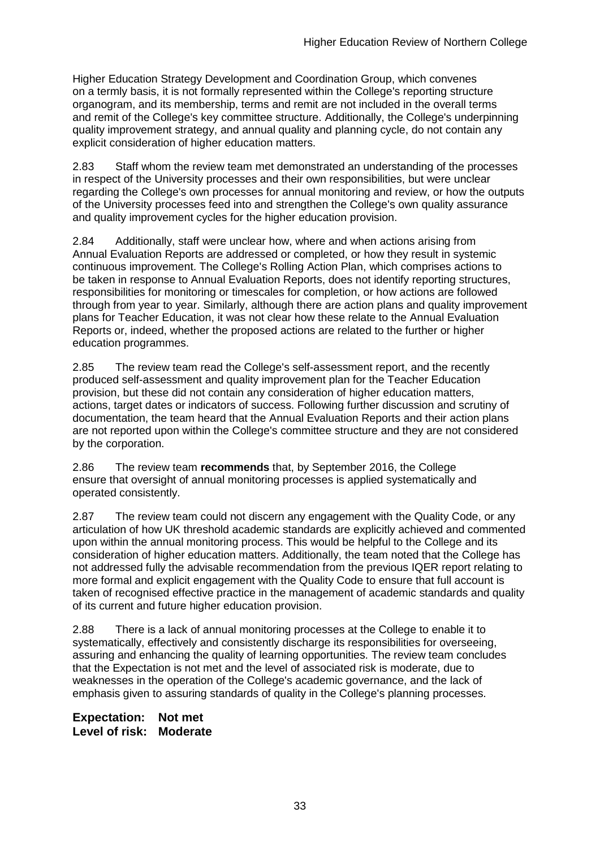Higher Education Strategy Development and Coordination Group, which convenes on a termly basis, it is not formally represented within the College's reporting structure organogram, and its membership, terms and remit are not included in the overall terms and remit of the College's key committee structure. Additionally, the College's underpinning quality improvement strategy, and annual quality and planning cycle, do not contain any explicit consideration of higher education matters.

2.83 Staff whom the review team met demonstrated an understanding of the processes in respect of the University processes and their own responsibilities, but were unclear regarding the College's own processes for annual monitoring and review, or how the outputs of the University processes feed into and strengthen the College's own quality assurance and quality improvement cycles for the higher education provision.

2.84 Additionally, staff were unclear how, where and when actions arising from Annual Evaluation Reports are addressed or completed, or how they result in systemic continuous improvement. The College's Rolling Action Plan, which comprises actions to be taken in response to Annual Evaluation Reports, does not identify reporting structures, responsibilities for monitoring or timescales for completion, or how actions are followed through from year to year. Similarly, although there are action plans and quality improvement plans for Teacher Education, it was not clear how these relate to the Annual Evaluation Reports or, indeed, whether the proposed actions are related to the further or higher education programmes.

2.85 The review team read the College's self-assessment report, and the recently produced self-assessment and quality improvement plan for the Teacher Education provision, but these did not contain any consideration of higher education matters, actions, target dates or indicators of success. Following further discussion and scrutiny of documentation, the team heard that the Annual Evaluation Reports and their action plans are not reported upon within the College's committee structure and they are not considered by the corporation.

2.86 The review team **recommends** that, by September 2016, the College ensure that oversight of annual monitoring processes is applied systematically and operated consistently.

2.87 The review team could not discern any engagement with the Quality Code, or any articulation of how UK threshold academic standards are explicitly achieved and commented upon within the annual monitoring process. This would be helpful to the College and its consideration of higher education matters. Additionally, the team noted that the College has not addressed fully the advisable recommendation from the previous IQER report relating to more formal and explicit engagement with the Quality Code to ensure that full account is taken of recognised effective practice in the management of academic standards and quality of its current and future higher education provision.

2.88 There is a lack of annual monitoring processes at the College to enable it to systematically, effectively and consistently discharge its responsibilities for overseeing, assuring and enhancing the quality of learning opportunities. The review team concludes that the Expectation is not met and the level of associated risk is moderate, due to weaknesses in the operation of the College's academic governance, and the lack of emphasis given to assuring standards of quality in the College's planning processes.

**Expectation: Not met Level of risk: Moderate**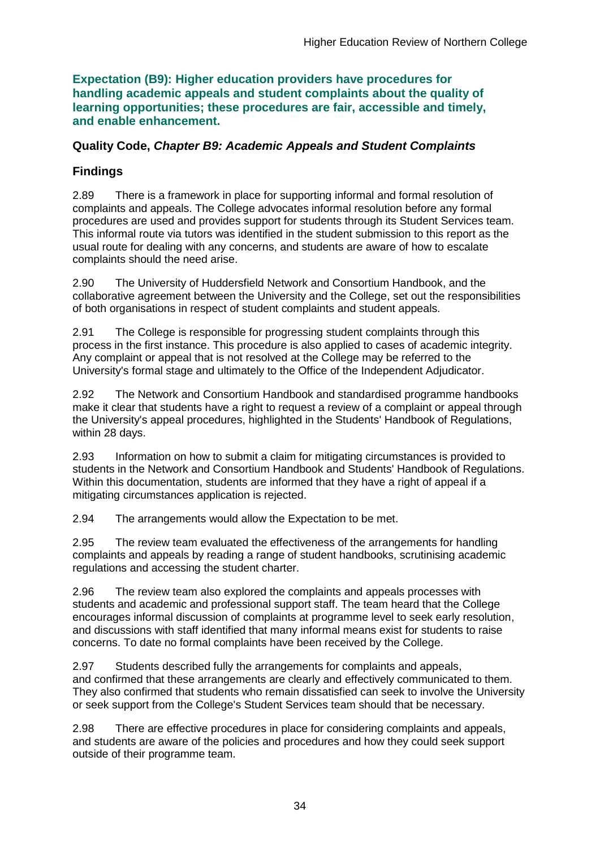**Expectation (B9): Higher education providers have procedures for handling academic appeals and student complaints about the quality of learning opportunities; these procedures are fair, accessible and timely, and enable enhancement.** 

### **Quality Code,** *Chapter B9: Academic Appeals and Student Complaints*

## **Findings**

2.89 There is a framework in place for supporting informal and formal resolution of complaints and appeals. The College advocates informal resolution before any formal procedures are used and provides support for students through its Student Services team. This informal route via tutors was identified in the student submission to this report as the usual route for dealing with any concerns, and students are aware of how to escalate complaints should the need arise.

2.90 The University of Huddersfield Network and Consortium Handbook, and the collaborative agreement between the University and the College, set out the responsibilities of both organisations in respect of student complaints and student appeals.

2.91 The College is responsible for progressing student complaints through this process in the first instance. This procedure is also applied to cases of academic integrity. Any complaint or appeal that is not resolved at the College may be referred to the University's formal stage and ultimately to the Office of the Independent Adjudicator.

2.92 The Network and Consortium Handbook and standardised programme handbooks make it clear that students have a right to request a review of a complaint or appeal through the University's appeal procedures, highlighted in the Students' Handbook of Regulations, within 28 days.

2.93 Information on how to submit a claim for mitigating circumstances is provided to students in the Network and Consortium Handbook and Students' Handbook of Regulations. Within this documentation, students are informed that they have a right of appeal if a mitigating circumstances application is rejected.

2.94 The arrangements would allow the Expectation to be met.

2.95 The review team evaluated the effectiveness of the arrangements for handling complaints and appeals by reading a range of student handbooks, scrutinising academic regulations and accessing the student charter.

2.96 The review team also explored the complaints and appeals processes with students and academic and professional support staff. The team heard that the College encourages informal discussion of complaints at programme level to seek early resolution, and discussions with staff identified that many informal means exist for students to raise concerns. To date no formal complaints have been received by the College.

2.97 Students described fully the arrangements for complaints and appeals, and confirmed that these arrangements are clearly and effectively communicated to them. They also confirmed that students who remain dissatisfied can seek to involve the University or seek support from the College's Student Services team should that be necessary.

2.98 There are effective procedures in place for considering complaints and appeals, and students are aware of the policies and procedures and how they could seek support outside of their programme team.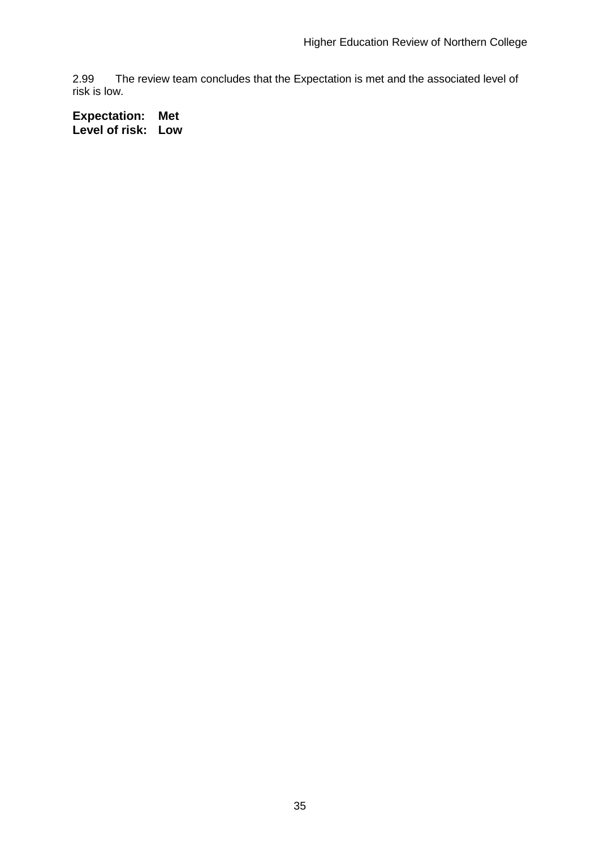2.99 The review team concludes that the Expectation is met and the associated level of risk is low.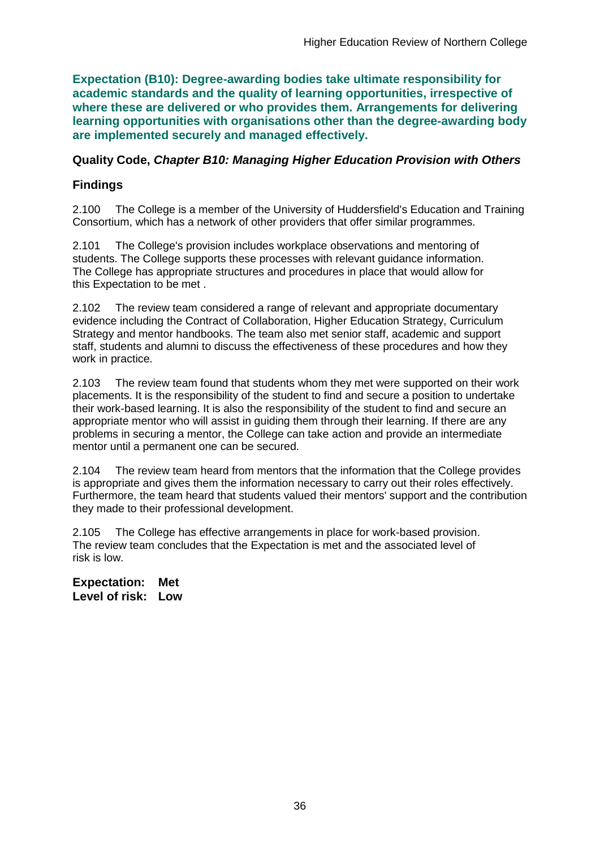**Expectation (B10): Degree-awarding bodies take ultimate responsibility for academic standards and the quality of learning opportunities, irrespective of where these are delivered or who provides them. Arrangements for delivering learning opportunities with organisations other than the degree-awarding body are implemented securely and managed effectively.**

### **Quality Code,** *Chapter B10: Managing Higher Education Provision with Others*

## **Findings**

2.100 The College is a member of the University of Huddersfield's Education and Training Consortium, which has a network of other providers that offer similar programmes.

2.101 The College's provision includes workplace observations and mentoring of students. The College supports these processes with relevant guidance information. The College has appropriate structures and procedures in place that would allow for this Expectation to be met .

2.102 The review team considered a range of relevant and appropriate documentary evidence including the Contract of Collaboration, Higher Education Strategy, Curriculum Strategy and mentor handbooks. The team also met senior staff, academic and support staff, students and alumni to discuss the effectiveness of these procedures and how they work in practice.

2.103 The review team found that students whom they met were supported on their work placements. It is the responsibility of the student to find and secure a position to undertake their work-based learning. It is also the responsibility of the student to find and secure an appropriate mentor who will assist in guiding them through their learning. If there are any problems in securing a mentor, the College can take action and provide an intermediate mentor until a permanent one can be secured.

2.104 The review team heard from mentors that the information that the College provides is appropriate and gives them the information necessary to carry out their roles effectively. Furthermore, the team heard that students valued their mentors' support and the contribution they made to their professional development.

2.105 The College has effective arrangements in place for work-based provision. The review team concludes that the Expectation is met and the associated level of risk is low.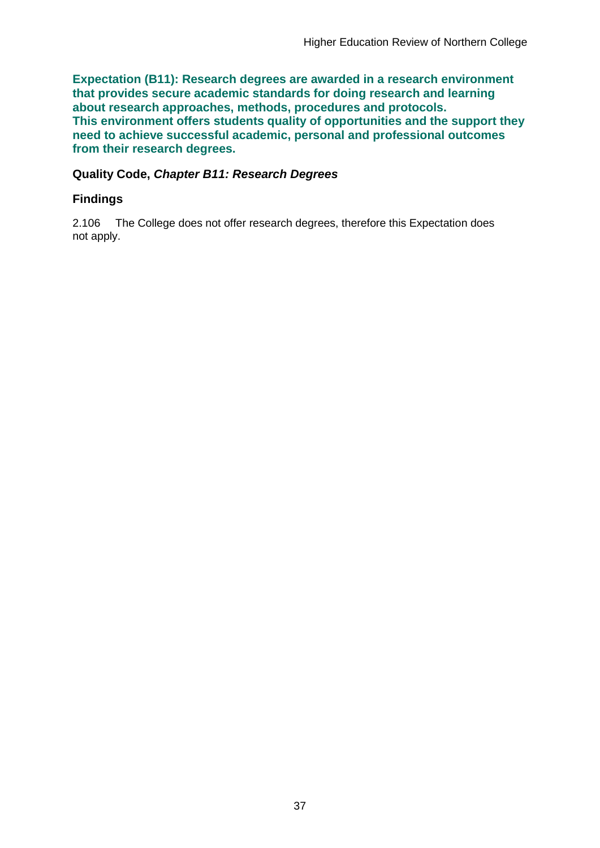**Expectation (B11): Research degrees are awarded in a research environment that provides secure academic standards for doing research and learning about research approaches, methods, procedures and protocols. This environment offers students quality of opportunities and the support they need to achieve successful academic, personal and professional outcomes from their research degrees.**

### **Quality Code,** *Chapter B11: Research Degrees*

### **Findings**

2.106 The College does not offer research degrees, therefore this Expectation does not apply.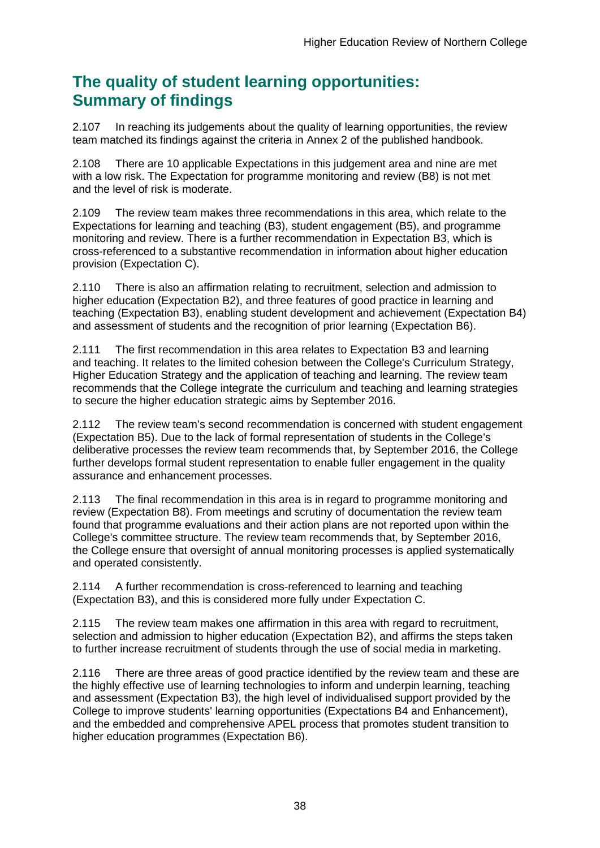## **The quality of student learning opportunities: Summary of findings**

2.107 In reaching its judgements about the quality of learning opportunities, the review team matched its findings against the criteria in Annex 2 of the published handbook.

2.108 There are 10 applicable Expectations in this judgement area and nine are met with a low risk. The Expectation for programme monitoring and review (B8) is not met and the level of risk is moderate.

2.109 The review team makes three recommendations in this area, which relate to the Expectations for learning and teaching (B3), student engagement (B5), and programme monitoring and review. There is a further recommendation in Expectation B3, which is cross-referenced to a substantive recommendation in information about higher education provision (Expectation C).

2.110 There is also an affirmation relating to recruitment, selection and admission to higher education (Expectation B2), and three features of good practice in learning and teaching (Expectation B3), enabling student development and achievement (Expectation B4) and assessment of students and the recognition of prior learning (Expectation B6).

2.111 The first recommendation in this area relates to Expectation B3 and learning and teaching. It relates to the limited cohesion between the College's Curriculum Strategy, Higher Education Strategy and the application of teaching and learning. The review team recommends that the College integrate the curriculum and teaching and learning strategies to secure the higher education strategic aims by September 2016.

2.112 The review team's second recommendation is concerned with student engagement (Expectation B5). Due to the lack of formal representation of students in the College's deliberative processes the review team recommends that, by September 2016, the College further develops formal student representation to enable fuller engagement in the quality assurance and enhancement processes.

2.113 The final recommendation in this area is in regard to programme monitoring and review (Expectation B8). From meetings and scrutiny of documentation the review team found that programme evaluations and their action plans are not reported upon within the College's committee structure. The review team recommends that, by September 2016, the College ensure that oversight of annual monitoring processes is applied systematically and operated consistently.

2.114 A further recommendation is cross-referenced to learning and teaching (Expectation B3), and this is considered more fully under Expectation C.

2.115 The review team makes one affirmation in this area with regard to recruitment, selection and admission to higher education (Expectation B2), and affirms the steps taken to further increase recruitment of students through the use of social media in marketing.

2.116 There are three areas of good practice identified by the review team and these are the highly effective use of learning technologies to inform and underpin learning, teaching and assessment (Expectation B3), the high level of individualised support provided by the College to improve students' learning opportunities (Expectations B4 and Enhancement), and the embedded and comprehensive APEL process that promotes student transition to higher education programmes (Expectation B6).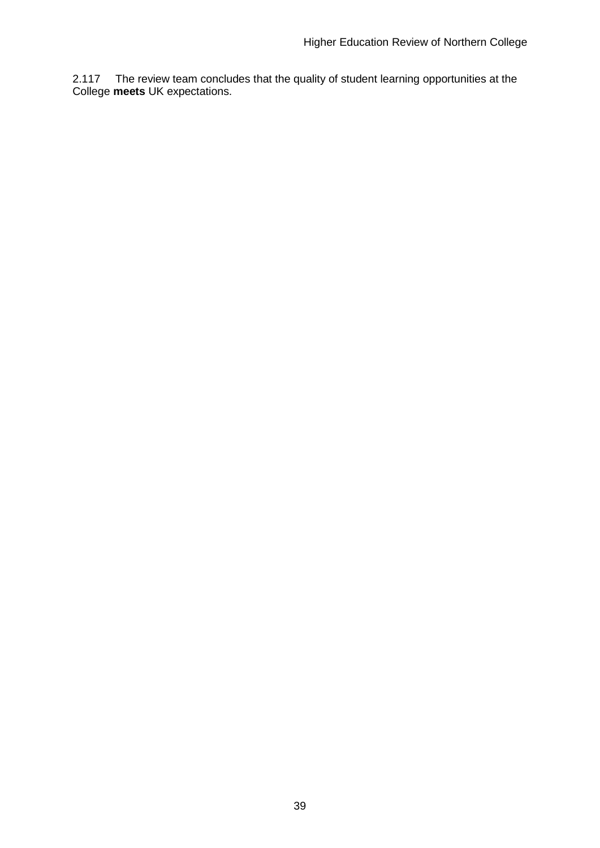2.117 The review team concludes that the quality of student learning opportunities at the College **meets** UK expectations.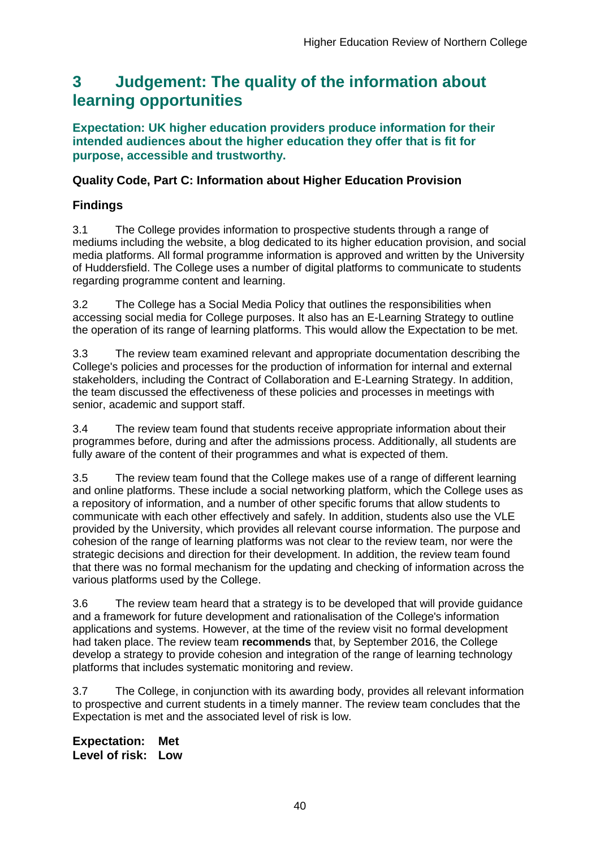## <span id="page-40-0"></span>**3 Judgement: The quality of the information about learning opportunities**

**Expectation: UK higher education providers produce information for their intended audiences about the higher education they offer that is fit for purpose, accessible and trustworthy.**

## **Quality Code, Part C: Information about Higher Education Provision**

## **Findings**

3.1 The College provides information to prospective students through a range of mediums including the website, a blog dedicated to its higher education provision, and social media platforms. All formal programme information is approved and written by the University of Huddersfield. The College uses a number of digital platforms to communicate to students regarding programme content and learning.

3.2 The College has a Social Media Policy that outlines the responsibilities when accessing social media for College purposes. It also has an E-Learning Strategy to outline the operation of its range of learning platforms. This would allow the Expectation to be met.

3.3 The review team examined relevant and appropriate documentation describing the College's policies and processes for the production of information for internal and external stakeholders, including the Contract of Collaboration and E-Learning Strategy. In addition, the team discussed the effectiveness of these policies and processes in meetings with senior, academic and support staff.

3.4 The review team found that students receive appropriate information about their programmes before, during and after the admissions process. Additionally, all students are fully aware of the content of their programmes and what is expected of them.

3.5 The review team found that the College makes use of a range of different learning and online platforms. These include a social networking platform, which the College uses as a repository of information, and a number of other specific forums that allow students to communicate with each other effectively and safely. In addition, students also use the VLE provided by the University, which provides all relevant course information. The purpose and cohesion of the range of learning platforms was not clear to the review team, nor were the strategic decisions and direction for their development. In addition, the review team found that there was no formal mechanism for the updating and checking of information across the various platforms used by the College.

3.6 The review team heard that a strategy is to be developed that will provide guidance and a framework for future development and rationalisation of the College's information applications and systems. However, at the time of the review visit no formal development had taken place. The review team **recommends** that, by September 2016, the College develop a strategy to provide cohesion and integration of the range of learning technology platforms that includes systematic monitoring and review.

3.7 The College, in conjunction with its awarding body, provides all relevant information to prospective and current students in a timely manner. The review team concludes that the Expectation is met and the associated level of risk is low.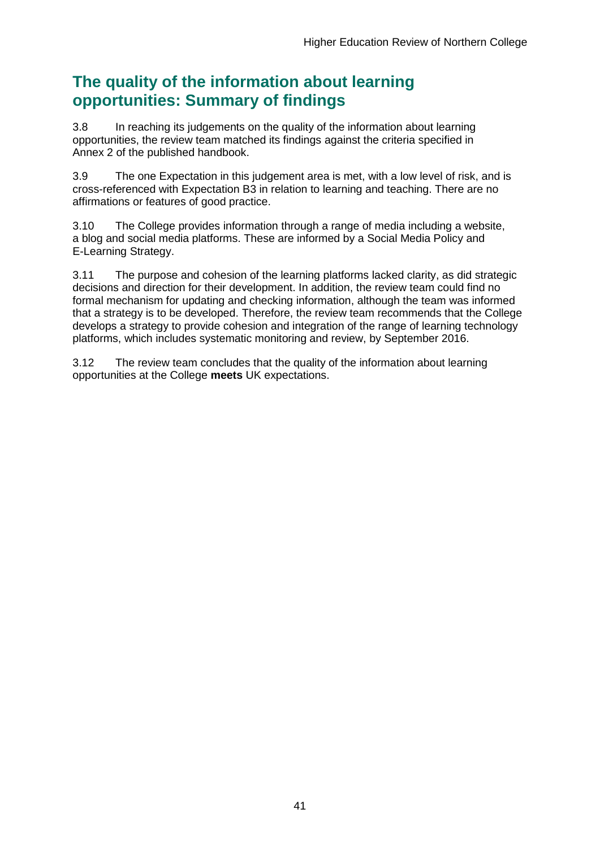## **The quality of the information about learning opportunities: Summary of findings**

3.8 In reaching its judgements on the quality of the information about learning opportunities, the review team matched its findings against the criteria specified in Annex 2 of the published handbook.

3.9 The one Expectation in this judgement area is met, with a low level of risk, and is cross-referenced with Expectation B3 in relation to learning and teaching. There are no affirmations or features of good practice.

3.10 The College provides information through a range of media including a website, a blog and social media platforms. These are informed by a Social Media Policy and E-Learning Strategy.

3.11 The purpose and cohesion of the learning platforms lacked clarity, as did strategic decisions and direction for their development. In addition, the review team could find no formal mechanism for updating and checking information, although the team was informed that a strategy is to be developed. Therefore, the review team recommends that the College develops a strategy to provide cohesion and integration of the range of learning technology platforms, which includes systematic monitoring and review, by September 2016.

3.12 The review team concludes that the quality of the information about learning opportunities at the College **meets** UK expectations.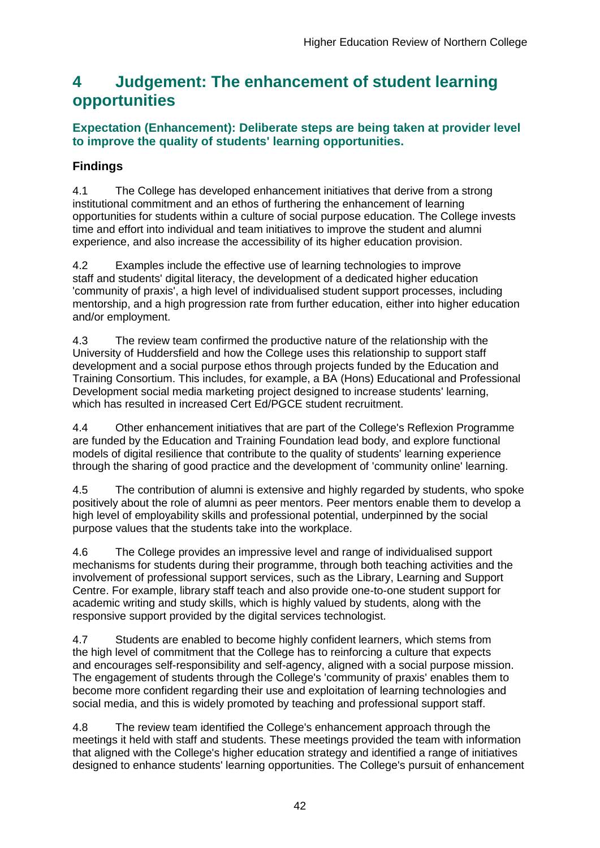## <span id="page-42-0"></span>**4 Judgement: The enhancement of student learning opportunities**

## **Expectation (Enhancement): Deliberate steps are being taken at provider level to improve the quality of students' learning opportunities.**

## **Findings**

4.1 The College has developed enhancement initiatives that derive from a strong institutional commitment and an ethos of furthering the enhancement of learning opportunities for students within a culture of social purpose education. The College invests time and effort into individual and team initiatives to improve the student and alumni experience, and also increase the accessibility of its higher education provision.

4.2 Examples include the effective use of learning technologies to improve staff and students' digital literacy, the development of a dedicated higher education 'community of praxis', a high level of individualised student support processes, including mentorship, and a high progression rate from further education, either into higher education and/or employment.

4.3 The review team confirmed the productive nature of the relationship with the University of Huddersfield and how the College uses this relationship to support staff development and a social purpose ethos through projects funded by the Education and Training Consortium. This includes, for example, a BA (Hons) Educational and Professional Development social media marketing project designed to increase students' learning, which has resulted in increased Cert Ed/PGCE student recruitment.

4.4 Other enhancement initiatives that are part of the College's Reflexion Programme are funded by the Education and Training Foundation lead body, and explore functional models of digital resilience that contribute to the quality of students' learning experience through the sharing of good practice and the development of 'community online' learning.

4.5 The contribution of alumni is extensive and highly regarded by students, who spoke positively about the role of alumni as peer mentors. Peer mentors enable them to develop a high level of employability skills and professional potential, underpinned by the social purpose values that the students take into the workplace.

4.6 The College provides an impressive level and range of individualised support mechanisms for students during their programme, through both teaching activities and the involvement of professional support services, such as the Library, Learning and Support Centre. For example, library staff teach and also provide one-to-one student support for academic writing and study skills, which is highly valued by students, along with the responsive support provided by the digital services technologist.

4.7 Students are enabled to become highly confident learners, which stems from the high level of commitment that the College has to reinforcing a culture that expects and encourages self-responsibility and self-agency, aligned with a social purpose mission. The engagement of students through the College's 'community of praxis' enables them to become more confident regarding their use and exploitation of learning technologies and social media, and this is widely promoted by teaching and professional support staff.

4.8 The review team identified the College's enhancement approach through the meetings it held with staff and students. These meetings provided the team with information that aligned with the College's higher education strategy and identified a range of initiatives designed to enhance students' learning opportunities. The College's pursuit of enhancement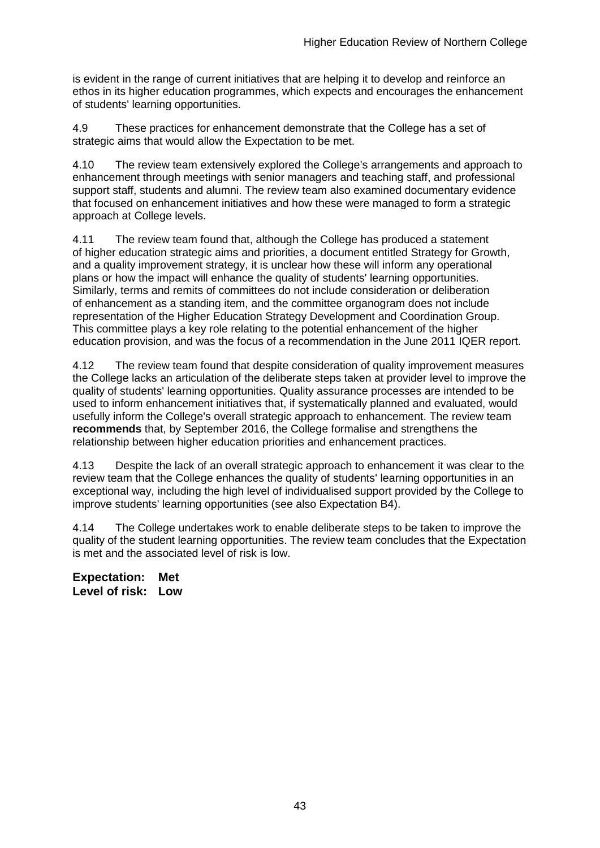is evident in the range of current initiatives that are helping it to develop and reinforce an ethos in its higher education programmes, which expects and encourages the enhancement of students' learning opportunities.

4.9 These practices for enhancement demonstrate that the College has a set of strategic aims that would allow the Expectation to be met.

4.10 The review team extensively explored the College's arrangements and approach to enhancement through meetings with senior managers and teaching staff, and professional support staff, students and alumni. The review team also examined documentary evidence that focused on enhancement initiatives and how these were managed to form a strategic approach at College levels.

4.11 The review team found that, although the College has produced a statement of higher education strategic aims and priorities, a document entitled Strategy for Growth, and a quality improvement strategy, it is unclear how these will inform any operational plans or how the impact will enhance the quality of students' learning opportunities. Similarly, terms and remits of committees do not include consideration or deliberation of enhancement as a standing item, and the committee organogram does not include representation of the Higher Education Strategy Development and Coordination Group. This committee plays a key role relating to the potential enhancement of the higher education provision, and was the focus of a recommendation in the June 2011 IQER report.

4.12 The review team found that despite consideration of quality improvement measures the College lacks an articulation of the deliberate steps taken at provider level to improve the quality of students' learning opportunities. Quality assurance processes are intended to be used to inform enhancement initiatives that, if systematically planned and evaluated, would usefully inform the College's overall strategic approach to enhancement. The review team **recommends** that, by September 2016, the College formalise and strengthens the relationship between higher education priorities and enhancement practices.

4.13 Despite the lack of an overall strategic approach to enhancement it was clear to the review team that the College enhances the quality of students' learning opportunities in an exceptional way, including the high level of individualised support provided by the College to improve students' learning opportunities (see also Expectation B4).

4.14 The College undertakes work to enable deliberate steps to be taken to improve the quality of the student learning opportunities. The review team concludes that the Expectation is met and the associated level of risk is low.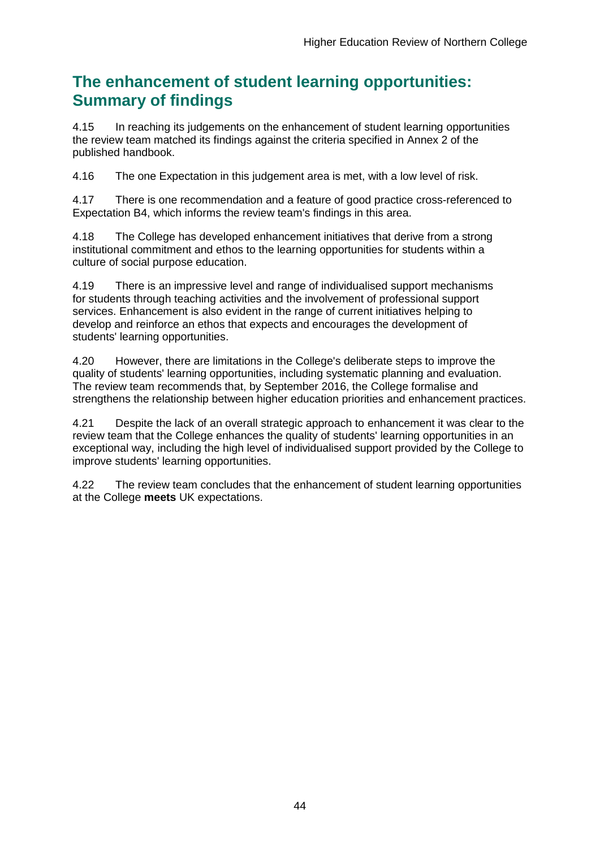## **The enhancement of student learning opportunities: Summary of findings**

4.15 In reaching its judgements on the enhancement of student learning opportunities the review team matched its findings against the criteria specified in Annex 2 of the published handbook.

4.16 The one Expectation in this judgement area is met, with a low level of risk.

4.17 There is one recommendation and a feature of good practice cross-referenced to Expectation B4, which informs the review team's findings in this area.

4.18 The College has developed enhancement initiatives that derive from a strong institutional commitment and ethos to the learning opportunities for students within a culture of social purpose education.

4.19 There is an impressive level and range of individualised support mechanisms for students through teaching activities and the involvement of professional support services. Enhancement is also evident in the range of current initiatives helping to develop and reinforce an ethos that expects and encourages the development of students' learning opportunities.

4.20 However, there are limitations in the College's deliberate steps to improve the quality of students' learning opportunities, including systematic planning and evaluation. The review team recommends that, by September 2016, the College formalise and strengthens the relationship between higher education priorities and enhancement practices.

4.21 Despite the lack of an overall strategic approach to enhancement it was clear to the review team that the College enhances the quality of students' learning opportunities in an exceptional way, including the high level of individualised support provided by the College to improve students' learning opportunities.

4.22 The review team concludes that the enhancement of student learning opportunities at the College **meets** UK expectations.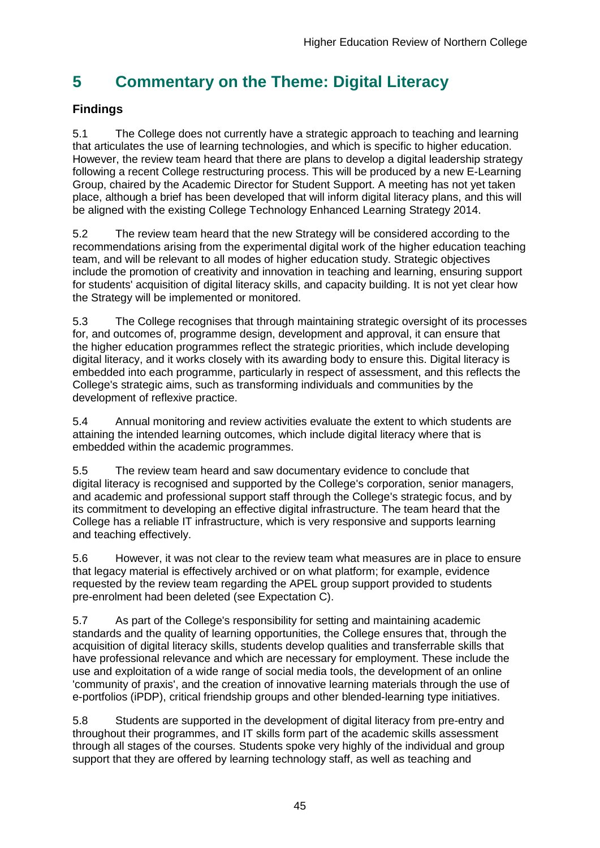## <span id="page-45-0"></span>**5 Commentary on the Theme: Digital Literacy**

## **Findings**

5.1 The College does not currently have a strategic approach to teaching and learning that articulates the use of learning technologies, and which is specific to higher education. However, the review team heard that there are plans to develop a digital leadership strategy following a recent College restructuring process. This will be produced by a new E-Learning Group, chaired by the Academic Director for Student Support. A meeting has not yet taken place, although a brief has been developed that will inform digital literacy plans, and this will be aligned with the existing College Technology Enhanced Learning Strategy 2014.

5.2 The review team heard that the new Strategy will be considered according to the recommendations arising from the experimental digital work of the higher education teaching team, and will be relevant to all modes of higher education study. Strategic objectives include the promotion of creativity and innovation in teaching and learning, ensuring support for students' acquisition of digital literacy skills, and capacity building. It is not yet clear how the Strategy will be implemented or monitored.

5.3 The College recognises that through maintaining strategic oversight of its processes for, and outcomes of, programme design, development and approval, it can ensure that the higher education programmes reflect the strategic priorities, which include developing digital literacy, and it works closely with its awarding body to ensure this. Digital literacy is embedded into each programme, particularly in respect of assessment, and this reflects the College's strategic aims, such as transforming individuals and communities by the development of reflexive practice.

5.4 Annual monitoring and review activities evaluate the extent to which students are attaining the intended learning outcomes, which include digital literacy where that is embedded within the academic programmes.

5.5 The review team heard and saw documentary evidence to conclude that digital literacy is recognised and supported by the College's corporation, senior managers, and academic and professional support staff through the College's strategic focus, and by its commitment to developing an effective digital infrastructure. The team heard that the College has a reliable IT infrastructure, which is very responsive and supports learning and teaching effectively.

5.6 However, it was not clear to the review team what measures are in place to ensure that legacy material is effectively archived or on what platform; for example, evidence requested by the review team regarding the APEL group support provided to students pre-enrolment had been deleted (see Expectation C).

5.7 As part of the College's responsibility for setting and maintaining academic standards and the quality of learning opportunities, the College ensures that, through the acquisition of digital literacy skills, students develop qualities and transferrable skills that have professional relevance and which are necessary for employment. These include the use and exploitation of a wide range of social media tools, the development of an online 'community of praxis', and the creation of innovative learning materials through the use of e-portfolios (iPDP), critical friendship groups and other blended-learning type initiatives.

5.8 Students are supported in the development of digital literacy from pre-entry and throughout their programmes, and IT skills form part of the academic skills assessment through all stages of the courses. Students spoke very highly of the individual and group support that they are offered by learning technology staff, as well as teaching and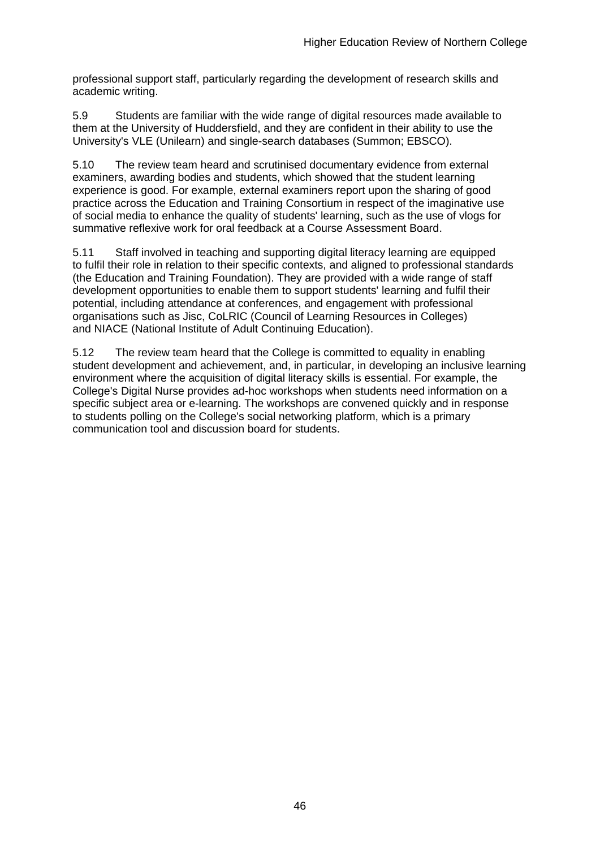professional support staff, particularly regarding the development of research skills and academic writing.

5.9 Students are familiar with the wide range of digital resources made available to them at the University of Huddersfield, and they are confident in their ability to use the University's VLE (Unilearn) and single-search databases (Summon; EBSCO).

5.10 The review team heard and scrutinised documentary evidence from external examiners, awarding bodies and students, which showed that the student learning experience is good. For example, external examiners report upon the sharing of good practice across the Education and Training Consortium in respect of the imaginative use of social media to enhance the quality of students' learning, such as the use of vlogs for summative reflexive work for oral feedback at a Course Assessment Board.

5.11 Staff involved in teaching and supporting digital literacy learning are equipped to fulfil their role in relation to their specific contexts, and aligned to professional standards (the Education and Training Foundation). They are provided with a wide range of staff development opportunities to enable them to support students' learning and fulfil their potential, including attendance at conferences, and engagement with professional organisations such as Jisc, CoLRIC (Council of Learning Resources in Colleges) and NIACE (National Institute of Adult Continuing Education).

5.12 The review team heard that the College is committed to equality in enabling student development and achievement, and, in particular, in developing an inclusive learning environment where the acquisition of digital literacy skills is essential. For example, the College's Digital Nurse provides ad-hoc workshops when students need information on a specific subject area or e-learning. The workshops are convened quickly and in response to students polling on the College's social networking platform, which is a primary communication tool and discussion board for students.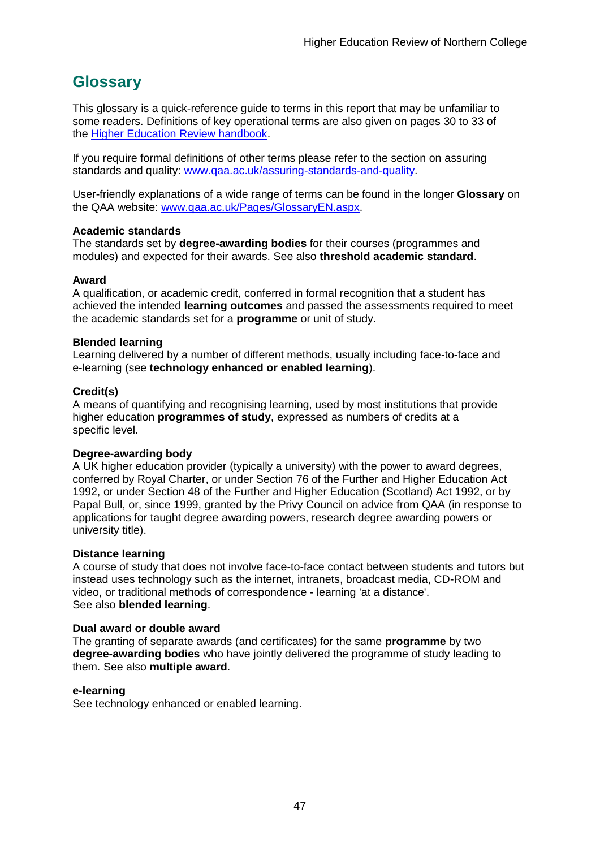## <span id="page-47-0"></span>**Glossary**

This glossary is a quick-reference guide to terms in this report that may be unfamiliar to some readers. Definitions of key operational terms are also given on pages 30 to 33 of the [Higher Education Review handbook.](http://www.qaa.ac.uk/publications/information-and-guidance/publication?PubID=2963)

If you require formal definitions of other terms please refer to the section on assuring standards and quality: [www.qaa.ac.uk/assuring-standards-and-quality.](http://www.qaa.ac.uk/assuring-standards-and-quality)

User-friendly explanations of a wide range of terms can be found in the longer **Glossary** on the QAA website: [www.qaa.ac.uk/Pages/GlossaryEN.aspx.](http://www.qaa.ac.uk/Pages/GlossaryEN.aspx)

#### **Academic standards**

The standards set by **degree-awarding bodies** for their courses (programmes and modules) and expected for their awards. See also **threshold academic standard**.

#### **Award**

A qualification, or academic credit, conferred in formal recognition that a student has achieved the intended **learning outcomes** and passed the assessments required to meet the academic standards set for a **programme** or unit of study.

#### **Blended learning**

Learning delivered by a number of different methods, usually including face-to-face and e-learning (see **[technology enhanced or enabled learning](http://www.qaa.ac.uk/AboutUs/glossary/Pages/glossary-t.aspx#t1)**).

#### **Credit(s)**

A means of quantifying and recognising learning, used by most institutions that provide higher education **programmes of study**, expressed as numbers of credits at a specific level.

#### **Degree-awarding body**

A UK [higher education provider](http://newlive.qaa.ac.uk/AboutUs/glossary/Pages/glossary-h.aspx#h2.1) (typically a [university\)](http://newlive.qaa.ac.uk/AboutUs/glossary/Pages/glossary-u-z.aspx#u4) with the power to award degrees, conferred by Royal Charter, or under Section 76 of the Further and Higher Education Act 1992, or under Section 48 of the Further and Higher Education (Scotland) Act 1992, or by Papal Bull, or, since 1999, granted by the Privy Council on advice from QAA (in response to applications for [taught degree awarding powers, research degree awarding powers or](http://newlive.qaa.ac.uk/AboutUs/DAP/Pages/default.aspx)  [university title\)](http://newlive.qaa.ac.uk/AboutUs/DAP/Pages/default.aspx).

#### **Distance learning**

A course of study that does not involve face-to-face contact between students and tutors but instead uses technology such as the internet, intranets, broadcast media, CD-ROM and video, or traditional methods of correspondence - learning 'at a distance'. See also **blended learning**.

#### **Dual award or double award**

The granting of separate awards (and certificates) for the same **programme** by two **degree-awarding bodies** who have jointly delivered the programme of study leading to them. See also **multiple award**.

#### **e-learning**

See technology enhanced or enabled learning.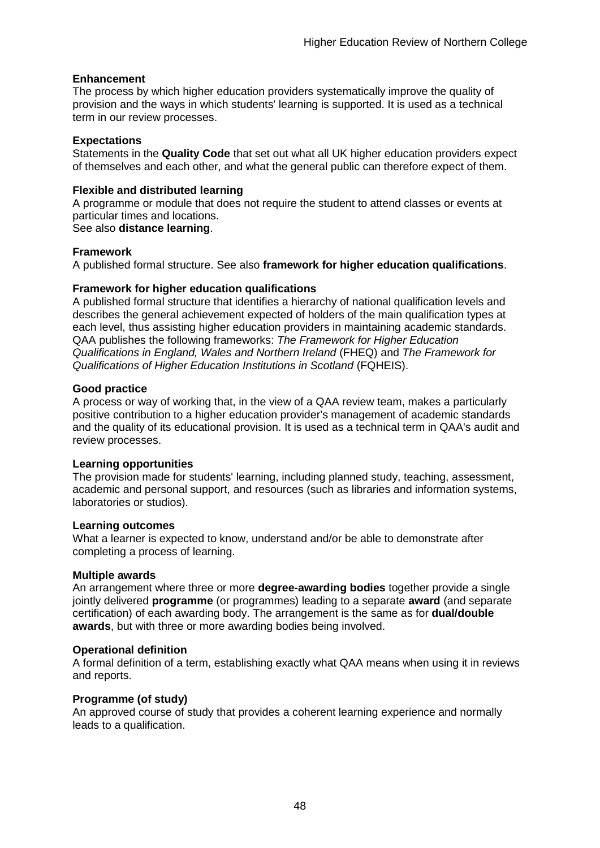#### **Enhancement**

The process by which [higher education providers](http://www.qaa.ac.uk/AboutUs/glossary/Pages/glossary-h.aspx#h2.1) systematically improve the quality of provision and the ways in which students' learning is supported. It is used as a technical term in our review processes.

#### **Expectations**

Statements in the **Quality Code** that set out what all UK [higher education providers](http://newlive.qaa.ac.uk/AboutUs/glossary/Pages/glossary-h.aspx#h2.1) expect of themselves and each other, and what the general public can therefore expect of them.

#### **Flexible and distributed learning**

A [programme](http://newlive.qaa.ac.uk/AboutUs/glossary/Pages/glossary-p.aspx#p12) or [module](http://newlive.qaa.ac.uk/AboutUs/glossary/Pages/glossary-m-o.aspx#m6) that does not require the student to attend classes or events at particular times and locations.

See also **distance learning**.

#### **Framework**

A published formal structure. See also **framework for higher education qualifications**.

#### **Framework for higher education qualifications**

A published formal structure that identifies a hierarchy of national qualification levels and describes the general achievement expected of holders of the main qualification types at each level, thus assisting higher education providers in maintaining academic standards. QAA publishes the following frameworks: *The Framework for Higher Education Qualifications in England, Wales and Northern Ireland* (FHEQ) and *The Framework for Qualifications of Higher Education Institutions in Scotland* (FQHEIS).

#### **Good practice**

A process or way of working that, in the view of a QAA review team, makes a particularly positive contribution to a higher education provider's management of academic standards and the quality of its educational provision. It is used as a technical term in QAA's audit and review processes.

#### **Learning opportunities**

The provision made for students' learning, including planned study, teaching, assessment, academic and personal support, and resources (such as libraries and information systems, laboratories or studios).

#### **Learning outcomes**

What a learner is expected to know, understand and/or be able to demonstrate after completing a process of learning.

#### **Multiple awards**

An arrangement where three or more **degree-awarding bodies** together provide a single jointly delivered **programme** (or programmes) leading to a separate **award** (and separate certification) of each awarding body. The arrangement is the same as for **dual/double awards**, but with three or more awarding bodies being involved.

#### **Operational definition**

A formal definition of a term, establishing exactly what QAA means when using it in reviews and reports.

#### **Programme (of study)**

An approved course of study that provides a coherent learning experience and normally leads to a qualification.